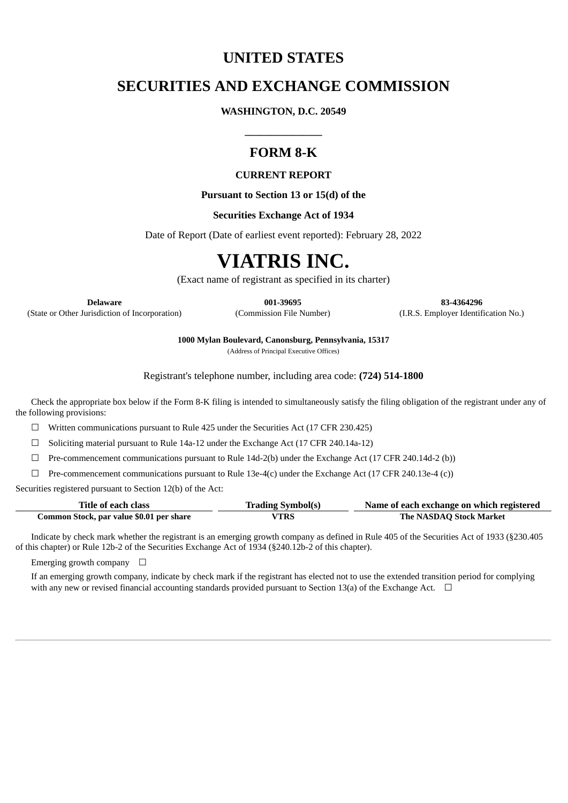## **UNITED STATES**

# **SECURITIES AND EXCHANGE COMMISSION**

**WASHINGTON, D.C. 20549**

# **FORM 8-K**

**\_\_\_\_\_\_\_\_\_\_\_\_\_\_\_**

### **CURRENT REPORT**

**Pursuant to Section 13 or 15(d) of the**

### **Securities Exchange Act of 1934**

Date of Report (Date of earliest event reported): February 28, 2022

# **VIATRIS INC.**

(Exact name of registrant as specified in its charter)

(State or Other Jurisdiction of Incorporation) (Commission File Number) (I.R.S. Employer Identification No.)

**Delaware 001-39695 83-4364296**

**1000 Mylan Boulevard, Canonsburg, Pennsylvania, 15317**

(Address of Principal Executive Offices)

Registrant's telephone number, including area code: **(724) 514-1800**

Check the appropriate box below if the Form 8-K filing is intended to simultaneously satisfy the filing obligation of the registrant under any of the following provisions:

 $\Box$  Written communications pursuant to Rule 425 under the Securities Act (17 CFR 230.425)

☐ Soliciting material pursuant to Rule 14a-12 under the Exchange Act (17 CFR 240.14a-12)

 $\Box$  Pre-commencement communications pursuant to Rule 14d-2(b) under the Exchange Act (17 CFR 240.14d-2 (b))

 $\Box$  Pre-commencement communications pursuant to Rule 13e-4(c) under the Exchange Act (17 CFR 240.13e-4 (c))

Securities registered pursuant to Section 12(b) of the Act:

| Title of each class                      | <b>Trading Symbol(s)</b> | Name of each exchange on which registered |
|------------------------------------------|--------------------------|-------------------------------------------|
| Common Stock, par value \$0.01 per share | VTRS                     | The NASDAQ Stock Market                   |

Indicate by check mark whether the registrant is an emerging growth company as defined in Rule 405 of the Securities Act of 1933 (§230.405 of this chapter) or Rule 12b-2 of the Securities Exchange Act of 1934 (§240.12b-2 of this chapter).

Emerging growth company  $\Box$ 

If an emerging growth company, indicate by check mark if the registrant has elected not to use the extended transition period for complying with any new or revised financial accounting standards provided pursuant to Section 13(a) of the Exchange Act.  $\Box$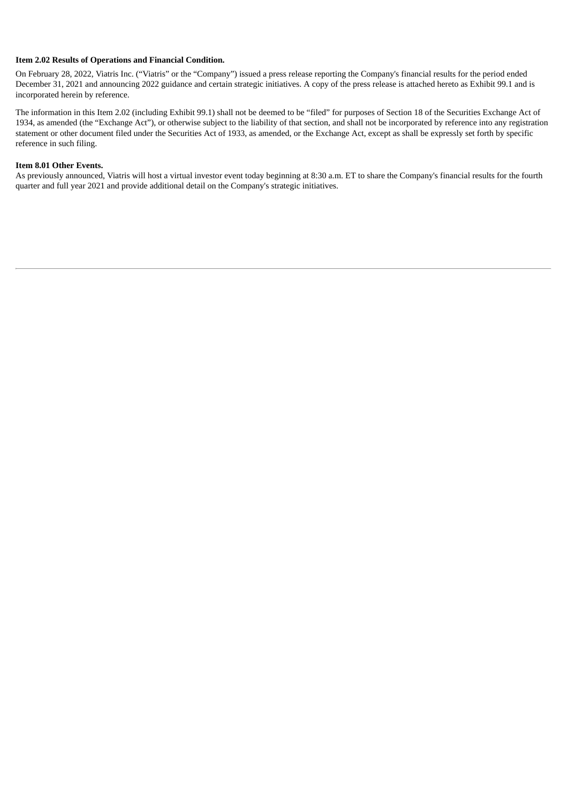#### **Item 2.02 Results of Operations and Financial Condition.**

On February 28, 2022, Viatris Inc. ("Viatris" or the "Company") issued a press release reporting the Company's financial results for the period ended December 31, 2021 and announcing 2022 guidance and certain strategic initiatives. A copy of the press release is attached hereto as Exhibit 99.1 and is incorporated herein by reference.

The information in this Item 2.02 (including Exhibit 99.1) shall not be deemed to be "filed" for purposes of Section 18 of the Securities Exchange Act of 1934, as amended (the "Exchange Act"), or otherwise subject to the liability of that section, and shall not be incorporated by reference into any registration statement or other document filed under the Securities Act of 1933, as amended, or the Exchange Act, except as shall be expressly set forth by specific reference in such filing.

#### **Item 8.01 Other Events.**

As previously announced, Viatris will host a virtual investor event today beginning at 8:30 a.m. ET to share the Company's financial results for the fourth quarter and full year 2021 and provide additional detail on the Company's strategic initiatives.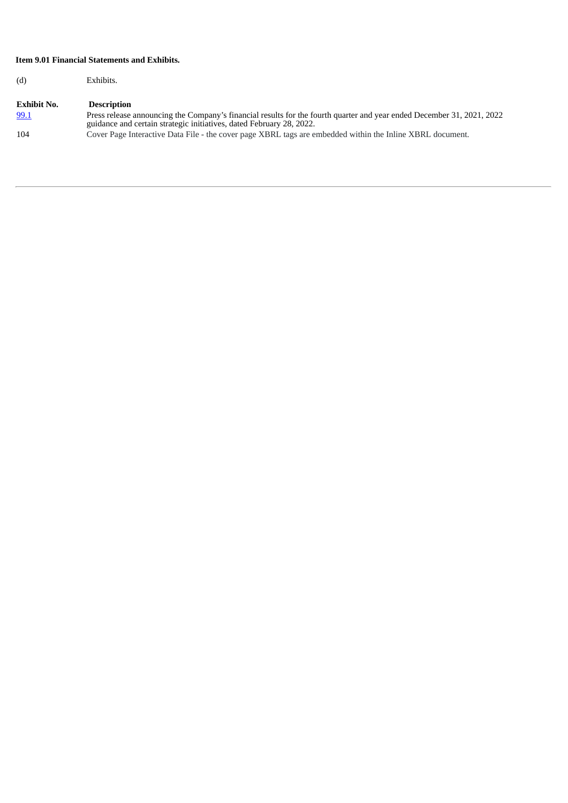### **Item 9.01 Financial Statements and Exhibits.**

(d) Exhibits.

### **Exhibit No. Description** [99.1](#page-4-0) Press release announcing the Company's financial results for the fourth quarter and year ended December 31, 2021, 2022 guidance and certain strategic initiatives, dated February 28, 2022. 104 Cover Page Interactive Data File - the cover page XBRL tags are embedded within the Inline XBRL document.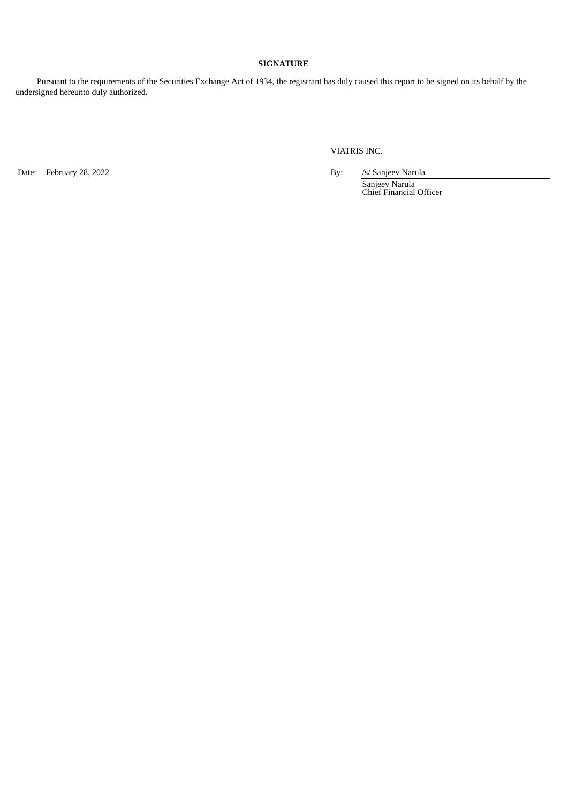### **SIGNATURE**

Pursuant to the requirements of the Securities Exchange Act of 1934, the registrant has duly caused this report to be signed on its behalf by the undersigned hereunto duly authorized.

VIATRIS INC.

Date: February 28, 2022 **By:** /s/ Sanjeev Narula

Sanjeev Narula Chief Financial Officer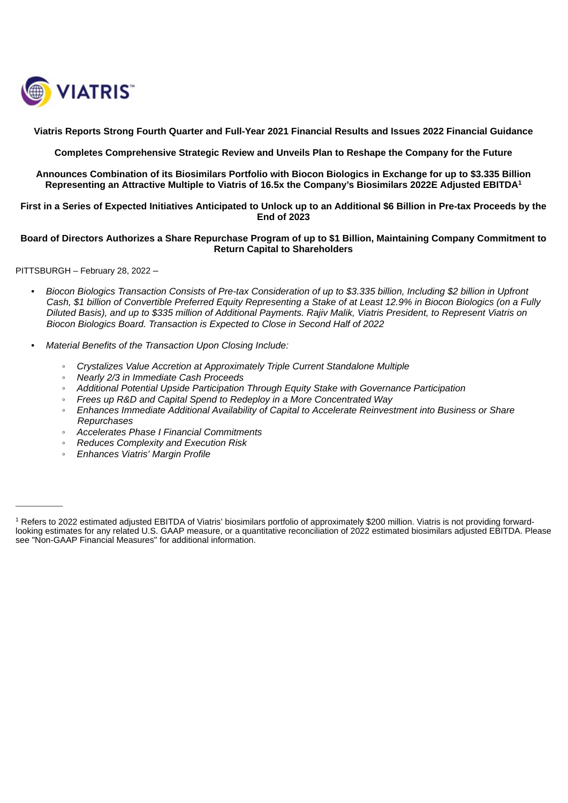<span id="page-4-0"></span>

**Viatris Reports Strong Fourth Quarter and Full-Year 2021 Financial Results and Issues 2022 Financial Guidance**

**Completes Comprehensive Strategic Review and Unveils Plan to Reshape the Company for the Future**

**Announces Combination of its Biosimilars Portfolio with Biocon Biologics in Exchange for up to \$3.335 Billion Representing an Attractive Multiple to Viatris of 16.5x the Company's Biosimilars 2022E Adjusted EBITDA 1**

First in a Series of Expected Initiatives Anticipated to Unlock up to an Additional \$6 Billion in Pre-tax Proceeds by the **End of 2023**

### Board of Directors Authorizes a Share Repurchase Program of up to \$1 Billion, Maintaining Company Commitment to **Return Capital to Shareholders**

PITTSBURGH – February 28, 2022 –

 $\overline{\phantom{a}}$  , where  $\overline{\phantom{a}}$ 

- Biocon Biologics Transaction Consists of Pre-tax Consideration of up to \$3.335 billion, Including \$2 billion in Upfront Cash, \$1 billion of Convertible Preferred Equity Representing a Stake of at Least 12.9% in Biocon Biologics (on a Fully Diluted Basis), and up to \$335 million of Additional Payments, Raijy Malik, Viatris President, to Represent Viatris on *Biocon Biologics Board. Transaction is Expected to Close in Second Half of 2022*
- *• Material Benefits of the Transaction Upon Closing Include:*
	- *Crystalizes Value Accretion at Approximately Triple Current Standalone Multiple*
	- *Nearly 2/3 in Immediate Cash Proceeds*
	- *Additional Potential Upside Participation Through Equity Stake with Governance Participation*
	- *Frees up R&D and Capital Spend to Redeploy in a More Concentrated Way*
	- *Enhances Immediate Additional Availability of Capital to Accelerate Reinvestment into Business or Share Repurchases*
	- *Accelerates Phase I Financial Commitments*
	- *Reduces Complexity and Execution Risk*
	- *Enhances Viatris' Margin Profile*

 $^{\rm 1}$  Refers to 2022 estimated adjusted EBITDA of Viatris' biosimilars portfolio of approximately \$200 million. Viatris is not providing forwardlooking estimates for any related U.S. GAAP measure, or a quantitative reconciliation of 2022 estimated biosimilars adjusted EBITDA. Please see "Non-GAAP Financial Measures" for additional information.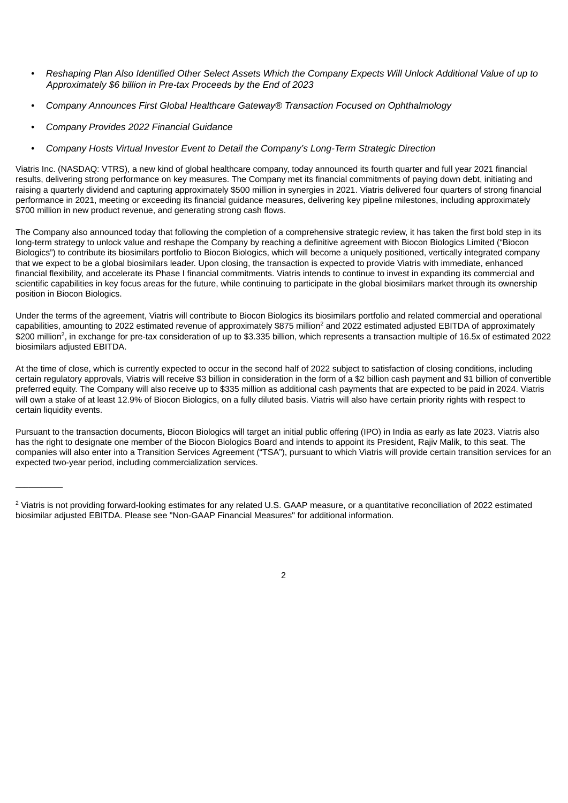- Reshaping Plan Also Identified Other Select Assets Which the Company Expects Will Unlock Additional Value of up to *Approximately \$6 billion in Pre-tax Proceeds by the End of 2023*
- *• Company Announces First Global Healthcare Gateway® Transaction Focused on Ophthalmology*
- *• Company Provides 2022 Financial Guidance*

 $\overline{\phantom{a}}$  . The contract of  $\overline{\phantom{a}}$ 

*• Company Hosts Virtual Investor Event to Detail the Company's Long-Term Strategic Direction*

Viatris Inc. (NASDAQ: VTRS), a new kind of global healthcare company, today announced its fourth quarter and full year 2021 financial results, delivering strong performance on key measures. The Company met its financial commitments of paying down debt, initiating and raising a quarterly dividend and capturing approximately \$500 million in synergies in 2021. Viatris delivered four quarters of strong financial performance in 2021, meeting or exceeding its financial guidance measures, delivering key pipeline milestones, including approximately \$700 million in new product revenue, and generating strong cash flows.

The Company also announced today that following the completion of a comprehensive strategic review, it has taken the first bold step in its long-term strategy to unlock value and reshape the Company by reaching a definitive agreement with Biocon Biologics Limited ("Biocon Biologics") to contribute its biosimilars portfolio to Biocon Biologics, which will become a uniquely positioned, vertically integrated company that we expect to be a global biosimilars leader. Upon closing, the transaction is expected to provide Viatris with immediate, enhanced financial flexibility, and accelerate its Phase I financial commitments. Viatris intends to continue to invest in expanding its commercial and scientific capabilities in key focus areas for the future, while continuing to participate in the global biosimilars market through its ownership position in Biocon Biologics.

Under the terms of the agreement, Viatris will contribute to Biocon Biologics its biosimilars portfolio and related commercial and operational capabilities, amounting to 2022 estimated revenue of approximately \$875 million<sup>2</sup> and 2022 estimated adjusted EBITDA of approximately \$200 million<sup>2</sup>, in exchange for pre-tax consideration of up to \$3.335 billion, which represents a transaction multiple of 16.5x of estimated 2022 biosimilars adjusted EBITDA.

At the time of close, which is currently expected to occur in the second half of 2022 subject to satisfaction of closing conditions, including certain regulatory approvals, Viatris will receive \$3 billion in consideration in the form of a \$2 billion cash payment and \$1 billion of convertible preferred equity. The Company will also receive up to \$335 million as additional cash payments that are expected to be paid in 2024. Viatris will own a stake of at least 12.9% of Biocon Biologics, on a fully diluted basis. Viatris will also have certain priority rights with respect to certain liquidity events.

Pursuant to the transaction documents, Biocon Biologics will target an initial public offering (IPO) in India as early as late 2023. Viatris also has the right to designate one member of the Biocon Biologics Board and intends to appoint its President, Rajiv Malik, to this seat. The companies will also enter into a Transition Services Agreement ("TSA"), pursuant to which Viatris will provide certain transition services for an expected two-year period, including commercialization services.



 $\textsuperscript{2}$  Viatris is not providing forward-looking estimates for any related U.S. GAAP measure, or a quantitative reconciliation of 2022 estimated biosimilar adjusted EBITDA. Please see "Non-GAAP Financial Measures" for additional information.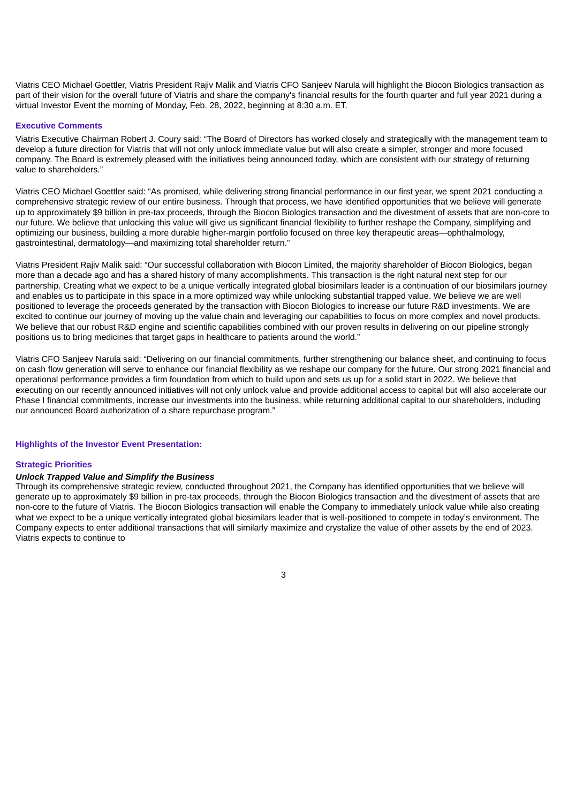Viatris CEO Michael Goettler, Viatris President Rajiv Malik and Viatris CFO Sanjeev Narula will highlight the Biocon Biologics transaction as part of their vision for the overall future of Viatris and share the company's financial results for the fourth quarter and full year 2021 during a virtual Investor Event the morning of Monday, Feb. 28, 2022, beginning at 8:30 a.m. ET.

#### **Executive Comments**

Viatris Executive Chairman Robert J. Coury said: "The Board of Directors has worked closely and strategically with the management team to develop a future direction for Viatris that will not only unlock immediate value but will also create a simpler, stronger and more focused company. The Board is extremely pleased with the initiatives being announced today, which are consistent with our strategy of returning value to shareholders."

Viatris CEO Michael Goettler said: "As promised, while delivering strong financial performance in our first year, we spent 2021 conducting a comprehensive strategic review of our entire business. Through that process, we have identified opportunities that we believe will generate up to approximately \$9 billion in pre-tax proceeds, through the Biocon Biologics transaction and the divestment of assets that are non-core to our future. We believe that unlocking this value will give us significant financial flexibility to further reshape the Company, simplifying and optimizing our business, building a more durable higher-margin portfolio focused on three key therapeutic areas—ophthalmology, gastrointestinal, dermatology—and maximizing total shareholder return."

Viatris President Rajiv Malik said: "Our successful collaboration with Biocon Limited, the majority shareholder of Biocon Biologics, began more than a decade ago and has a shared history of many accomplishments. This transaction is the right natural next step for our partnership. Creating what we expect to be a unique vertically integrated global biosimilars leader is a continuation of our biosimilars journey and enables us to participate in this space in a more optimized way while unlocking substantial trapped value. We believe we are well positioned to leverage the proceeds generated by the transaction with Biocon Biologics to increase our future R&D investments. We are excited to continue our journey of moving up the value chain and leveraging our capabilities to focus on more complex and novel products. We believe that our robust R&D engine and scientific capabilities combined with our proven results in delivering on our pipeline strongly positions us to bring medicines that target gaps in healthcare to patients around the world."

Viatris CFO Sanjeev Narula said: "Delivering on our financial commitments, further strengthening our balance sheet, and continuing to focus on cash flow generation will serve to enhance our financial flexibility as we reshape our company for the future. Our strong 2021 financial and operational performance provides a firm foundation from which to build upon and sets us up for a solid start in 2022. We believe that executing on our recently announced initiatives will not only unlock value and provide additional access to capital but will also accelerate our Phase I financial commitments, increase our investments into the business, while returning additional capital to our shareholders, including our announced Board authorization of a share repurchase program."

#### **Highlights of the Investor Event Presentation:**

#### **Strategic Priorities**

#### *Unlock Trapped Value and Simplify the Business*

Through its comprehensive strategic review, conducted throughout 2021, the Company has identified opportunities that we believe will generate up to approximately \$9 billion in pre-tax proceeds, through the Biocon Biologics transaction and the divestment of assets that are non-core to the future of Viatris. The Biocon Biologics transaction will enable the Company to immediately unlock value while also creating what we expect to be a unique vertically integrated global biosimilars leader that is well-positioned to compete in today's environment. The Company expects to enter additional transactions that will similarly maximize and crystalize the value of other assets by the end of 2023. Viatris expects to continue to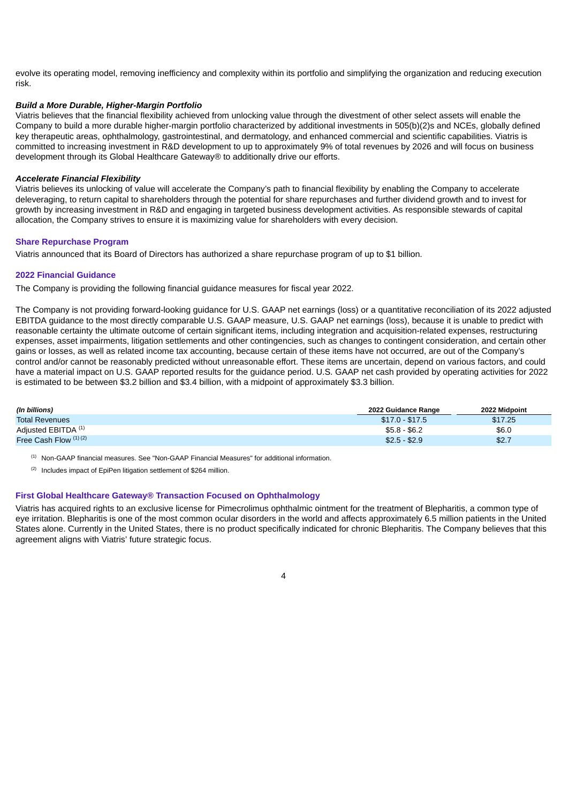evolve its operating model, removing inefficiency and complexity within its portfolio and simplifying the organization and reducing execution risk.

### *Build a More Durable, Higher-Margin Portfolio*

Viatris believes that the financial flexibility achieved from unlocking value through the divestment of other select assets will enable the Company to build a more durable higher-margin portfolio characterized by additional investments in 505(b)(2)s and NCEs, globally defined key therapeutic areas, ophthalmology, gastrointestinal, and dermatology, and enhanced commercial and scientific capabilities. Viatris is committed to increasing investment in R&D development to up to approximately 9% of total revenues by 2026 and will focus on business development through its Global Healthcare Gateway® to additionally drive our efforts.

#### *Accelerate Financial Flexibility*

Viatris believes its unlocking of value will accelerate the Company's path to financial flexibility by enabling the Company to accelerate deleveraging, to return capital to shareholders through the potential for share repurchases and further dividend growth and to invest for growth by increasing investment in R&D and engaging in targeted business development activities. As responsible stewards of capital allocation, the Company strives to ensure it is maximizing value for shareholders with every decision.

#### **Share Repurchase Program**

Viatris announced that its Board of Directors has authorized a share repurchase program of up to \$1 billion.

#### **2022 Financial Guidance**

The Company is providing the following financial guidance measures for fiscal year 2022.

The Company is not providing forward-looking guidance for U.S. GAAP net earnings (loss) or a quantitative reconciliation of its 2022 adjusted EBITDA guidance to the most directly comparable U.S. GAAP measure, U.S. GAAP net earnings (loss), because it is unable to predict with reasonable certainty the ultimate outcome of certain significant items, including integration and acquisition-related expenses, restructuring expenses, asset impairments, litigation settlements and other contingencies, such as changes to contingent consideration, and certain other gains or losses, as well as related income tax accounting, because certain of these items have not occurred, are out of the Company's control and/or cannot be reasonably predicted without unreasonable effort. These items are uncertain, depend on various factors, and could have a material impact on U.S. GAAP reported results for the guidance period. U.S. GAAP net cash provided by operating activities for 2022 is estimated to be between \$3.2 billion and \$3.4 billion, with a midpoint of approximately \$3.3 billion.

| (In billions)                  | 2022 Guidance Range | 2022 Midpoint |
|--------------------------------|---------------------|---------------|
| <b>Total Revenues</b>          | $$17.0 - $17.5$     | \$17.25       |
| Adjusted EBITDA <sup>(1)</sup> | $$5.8 - $6.2$       | \$6.0         |
| Free Cash Flow $(1)(2)$        | $$2.5 - $2.9$       | \$2.7         |

 $<sup>(1)</sup>$  Non-GAAP financial measures. See "Non-GAAP Financial Measures" for additional information.</sup>

 $(2)$  Includes impact of EpiPen litigation settlement of \$264 million.

#### **First Global Healthcare Gateway® Transaction Focused on Ophthalmology**

Viatris has acquired rights to an exclusive license for Pimecrolimus ophthalmic ointment for the treatment of Blepharitis, a common type of eye irritation. Blepharitis is one of the most common ocular disorders in the world and affects approximately 6.5 million patients in the United States alone. Currently in the United States, there is no product specifically indicated for chronic Blepharitis. The Company believes that this agreement aligns with Viatris' future strategic focus.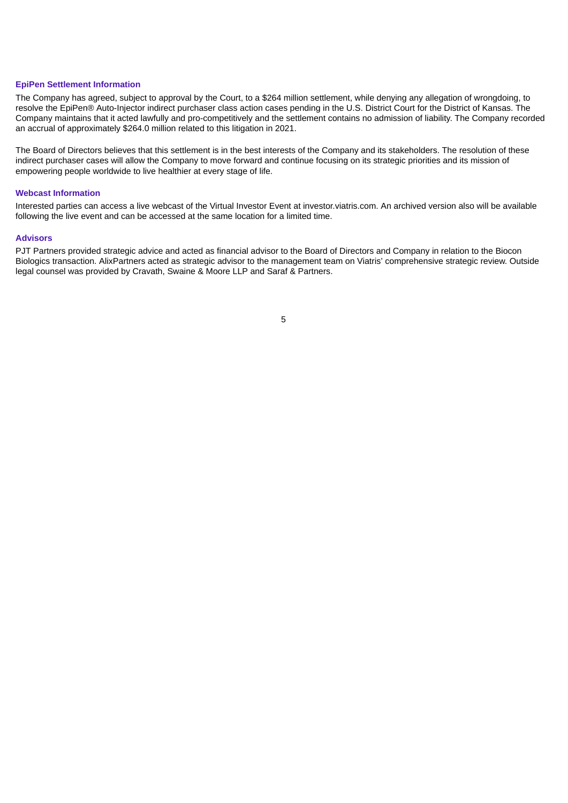#### **EpiPen Settlement Information**

The Company has agreed, subject to approval by the Court, to a \$264 million settlement, while denying any allegation of wrongdoing, to resolve the EpiPen® Auto-Injector indirect purchaser class action cases pending in the U.S. District Court for the District of Kansas. The Company maintains that it acted lawfully and pro-competitively and the settlement contains no admission of liability. The Company recorded an accrual of approximately \$264.0 million related to this litigation in 2021.

The Board of Directors believes that this settlement is in the best interests of the Company and its stakeholders. The resolution of these indirect purchaser cases will allow the Company to move forward and continue focusing on its strategic priorities and its mission of empowering people worldwide to live healthier at every stage of life.

#### **Webcast Information**

Interested parties can access a live webcast of the Virtual Investor Event at investor.viatris.com. An archived version also will be available following the live event and can be accessed at the same location for a limited time.

#### **Advisors**

PJT Partners provided strategic advice and acted as financial advisor to the Board of Directors and Company in relation to the Biocon Biologics transaction. AlixPartners acted as strategic advisor to the management team on Viatris' comprehensive strategic review. Outside legal counsel was provided by Cravath, Swaine & Moore LLP and Saraf & Partners.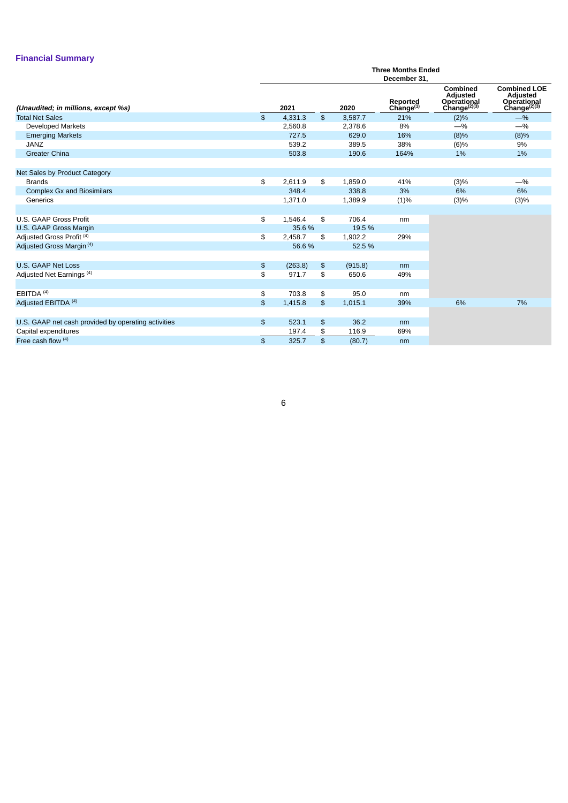### **Financial Summary**

|                                                     |                             | <b>Three Months Ended</b><br>December 31, |                |         |                          |                                                                 |                                                                            |  |  |  |
|-----------------------------------------------------|-----------------------------|-------------------------------------------|----------------|---------|--------------------------|-----------------------------------------------------------------|----------------------------------------------------------------------------|--|--|--|
| (Unaudited; in millions, except %s)                 |                             | 2021                                      |                | 2020    | Reported<br>Change $(1)$ | Combined<br>Adjusted<br>Operational<br>Change <sup>(2)(3)</sup> | <b>Combined LOE</b><br>Adjusted<br>Operational<br>Change <sup>(2)(3)</sup> |  |  |  |
| <b>Total Net Sales</b>                              | $\mathfrak{S}$              | 4,331.3                                   | $\mathfrak{S}$ | 3,587.7 | 21%                      | (2)%                                                            | $-$ %                                                                      |  |  |  |
| <b>Developed Markets</b>                            |                             | 2.560.8                                   |                | 2,378.6 | 8%                       | $-$ %                                                           | $-$ %                                                                      |  |  |  |
| <b>Emerging Markets</b>                             |                             | 727.5                                     |                | 629.0   | 16%                      | (8)%                                                            | (8)%                                                                       |  |  |  |
| <b>JANZ</b>                                         |                             | 539.2                                     |                | 389.5   | 38%                      | (6)%                                                            | 9%                                                                         |  |  |  |
| <b>Greater China</b>                                |                             | 503.8                                     |                | 190.6   | 164%                     | 1%                                                              | 1%                                                                         |  |  |  |
| Net Sales by Product Category                       |                             |                                           |                |         |                          |                                                                 |                                                                            |  |  |  |
| <b>Brands</b>                                       | \$                          | 2,611.9                                   | \$             | 1,859.0 | 41%                      | (3)%                                                            | $-$ %                                                                      |  |  |  |
| <b>Complex Gx and Biosimilars</b>                   |                             | 348.4                                     |                | 338.8   | 3%                       | 6%                                                              | 6%                                                                         |  |  |  |
| Generics                                            |                             | 1,371.0                                   |                | 1,389.9 | (1)%                     | (3)%                                                            | (3)%                                                                       |  |  |  |
|                                                     |                             |                                           |                |         |                          |                                                                 |                                                                            |  |  |  |
| U.S. GAAP Gross Profit                              | \$                          | 1,546.4                                   | \$             | 706.4   | nm                       |                                                                 |                                                                            |  |  |  |
| U.S. GAAP Gross Margin                              |                             | 35.6 %                                    |                | 19.5 %  |                          |                                                                 |                                                                            |  |  |  |
| Adjusted Gross Profit <sup>(4)</sup>                | \$                          | 2.458.7                                   | \$             | 1,902.2 | 29%                      |                                                                 |                                                                            |  |  |  |
| Adjusted Gross Margin <sup>(4)</sup>                |                             | 56.6%                                     |                | 52.5 %  |                          |                                                                 |                                                                            |  |  |  |
| <b>U.S. GAAP Net Loss</b>                           | $\boldsymbol{\mathfrak{s}}$ | (263.8)                                   | \$             | (915.8) | nm                       |                                                                 |                                                                            |  |  |  |
| Adjusted Net Earnings <sup>(4)</sup>                | \$                          | 971.7                                     | \$             | 650.6   | 49%                      |                                                                 |                                                                            |  |  |  |
|                                                     |                             |                                           |                |         |                          |                                                                 |                                                                            |  |  |  |
| EBITDA <sup>(4)</sup>                               | \$                          | 703.8                                     | \$             | 95.0    | nm                       |                                                                 |                                                                            |  |  |  |
| Adjusted EBITDA (4)                                 | $\frac{1}{2}$               | 1,415.8                                   | $\mathfrak{S}$ | 1,015.1 | 39%                      | 6%                                                              | 7%                                                                         |  |  |  |
|                                                     |                             |                                           |                |         |                          |                                                                 |                                                                            |  |  |  |
| U.S. GAAP net cash provided by operating activities | $\frac{2}{3}$               | 523.1                                     | \$             | 36.2    | nm                       |                                                                 |                                                                            |  |  |  |
| Capital expenditures                                |                             | 197.4                                     | \$             | 116.9   | 69%                      |                                                                 |                                                                            |  |  |  |
| Free cash flow $(4)$                                | $\mathfrak{S}$              | 325.7                                     | \$             | (80.7)  | nm                       |                                                                 |                                                                            |  |  |  |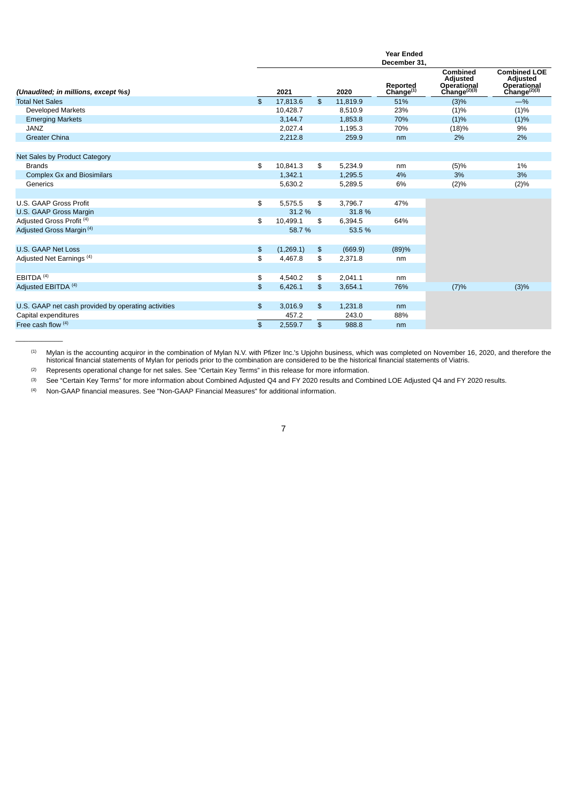|                                                     |                |           |                |          | <b>Year Ended</b>                        |                                                                              |                                                                            |
|-----------------------------------------------------|----------------|-----------|----------------|----------|------------------------------------------|------------------------------------------------------------------------------|----------------------------------------------------------------------------|
|                                                     |                |           |                |          | December 31,                             |                                                                              |                                                                            |
| (Unaudited; in millions, except %s)                 |                | 2021      |                | 2020     | <b>Reported</b><br>Change <sup>(1)</sup> | Combined<br>Adjusted<br>Operational<br>Change <sup><math>(2)(3)</math></sup> | <b>Combined LOE</b><br>Adjusted<br>Operational<br>Change <sup>(2)(3)</sup> |
| <b>Total Net Sales</b>                              | $\mathfrak{L}$ | 17,813.6  | $\mathfrak{L}$ | 11,819.9 | 51%                                      | (3)%                                                                         | $-$ %                                                                      |
| <b>Developed Markets</b>                            |                | 10,428.7  |                | 8,510.9  | 23%                                      | (1)%                                                                         | (1)%                                                                       |
| <b>Emerging Markets</b>                             |                | 3,144.7   |                | 1,853.8  | 70%                                      | (1)%                                                                         | (1)%                                                                       |
| <b>JANZ</b>                                         |                | 2.027.4   |                | 1.195.3  | 70%                                      | (18)%                                                                        | 9%                                                                         |
| <b>Greater China</b>                                |                | 2,212.8   |                | 259.9    | nm                                       | 2%                                                                           | 2%                                                                         |
|                                                     |                |           |                |          |                                          |                                                                              |                                                                            |
| Net Sales by Product Category                       |                |           |                |          |                                          |                                                                              |                                                                            |
| <b>Brands</b>                                       | \$             | 10.841.3  | \$             | 5,234.9  | nm                                       | (5)%                                                                         | 1%                                                                         |
| <b>Complex Gx and Biosimilars</b>                   |                | 1,342.1   |                | 1,295.5  | 4%                                       | 3%                                                                           | 3%                                                                         |
| Generics                                            |                | 5,630.2   |                | 5,289.5  | 6%                                       | (2)%                                                                         | (2)%                                                                       |
|                                                     |                |           |                |          |                                          |                                                                              |                                                                            |
| U.S. GAAP Gross Profit                              | \$             | 5.575.5   | \$             | 3.796.7  | 47%                                      |                                                                              |                                                                            |
| U.S. GAAP Gross Margin                              |                | 31.2 %    |                | 31.8%    |                                          |                                                                              |                                                                            |
| Adjusted Gross Profit <sup>(4)</sup>                | \$             | 10,499.1  | \$             | 6,394.5  | 64%                                      |                                                                              |                                                                            |
| Adjusted Gross Margin <sup>(4)</sup>                |                | 58.7 %    |                | 53.5 %   |                                          |                                                                              |                                                                            |
|                                                     |                |           |                |          |                                          |                                                                              |                                                                            |
| U.S. GAAP Net Loss                                  | $\frac{2}{3}$  | (1,269.1) | \$             | (669.9)  | (89)%                                    |                                                                              |                                                                            |
| Adjusted Net Earnings <sup>(4)</sup>                | \$             | 4,467.8   | \$             | 2,371.8  | nm                                       |                                                                              |                                                                            |
|                                                     |                |           |                |          |                                          |                                                                              |                                                                            |
| EBITDA <sup>(4)</sup>                               | \$             | 4.540.2   | \$             | 2,041.1  | nm                                       |                                                                              |                                                                            |
| Adjusted EBITDA (4)                                 | \$             | 6,426.1   | \$             | 3,654.1  | 76%                                      | (7)%                                                                         | (3)%                                                                       |
|                                                     |                |           |                |          |                                          |                                                                              |                                                                            |
| U.S. GAAP net cash provided by operating activities | \$             | 3,016.9   | \$             | 1,231.8  | nm                                       |                                                                              |                                                                            |
| Capital expenditures                                |                | 457.2     |                | 243.0    | 88%                                      |                                                                              |                                                                            |
| Free cash flow (4)                                  | $\frac{2}{3}$  | 2,559.7   | \$             | 988.8    | nm                                       |                                                                              |                                                                            |
|                                                     |                |           |                |          |                                          |                                                                              |                                                                            |

Mylan is the accounting acquiror in the combination of Mylan N.V. with Pfizer Inc.'s Upjohn business, which was completed on November 16, 2020, and therefore the historical financial statements of Mylan for periods prior to the combination are considered to be the historical financial statements of Viatris. (1)

Represents operational change for net sales. See "Certain Key Terms" in this release for more information. (2)

See "Certain Key Terms" for more information about Combined Adjusted Q4 and FY 2020 results and Combined LOE Adjusted Q4 and FY 2020 results. (3)

Non-GAAP financial measures. See "Non-GAAP Financial Measures" for additional information. (4)

\_\_\_\_\_\_\_\_\_\_\_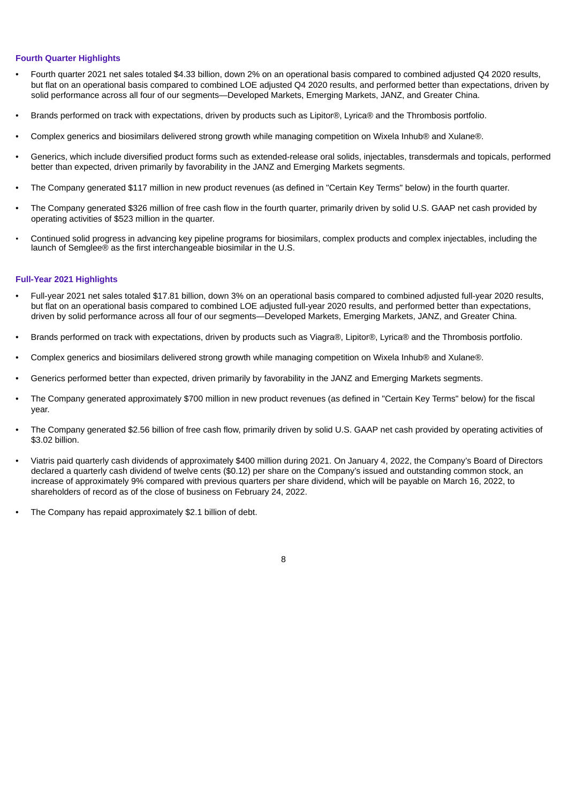### **Fourth Quarter Highlights**

- Fourth quarter 2021 net sales totaled \$4.33 billion, down 2% on an operational basis compared to combined adjusted Q4 2020 results, but flat on an operational basis compared to combined LOE adjusted Q4 2020 results, and performed better than expectations, driven by solid performance across all four of our segments—Developed Markets, Emerging Markets, JANZ, and Greater China.
- Brands performed on track with expectations, driven by products such as Lipitor®, Lyrica® and the Thrombosis portfolio.
- Complex generics and biosimilars delivered strong growth while managing competition on Wixela Inhub® and Xulane®.
- Generics, which include diversified product forms such as extended-release oral solids, injectables, transdermals and topicals, performed better than expected, driven primarily by favorability in the JANZ and Emerging Markets segments.
- The Company generated \$117 million in new product revenues (as defined in "Certain Key Terms" below) in the fourth quarter.
- The Company generated \$326 million of free cash flow in the fourth quarter, primarily driven by solid U.S. GAAP net cash provided by operating activities of \$523 million in the quarter.
- Continued solid progress in advancing key pipeline programs for biosimilars, complex products and complex injectables, including the launch of Semglee® as the first interchangeable biosimilar in the U.S.

#### **Full-Year 2021 Highlights**

- Full-year 2021 net sales totaled \$17.81 billion, down 3% on an operational basis compared to combined adjusted full-year 2020 results, but flat on an operational basis compared to combined LOE adjusted full-year 2020 results, and performed better than expectations, driven by solid performance across all four of our segments—Developed Markets, Emerging Markets, JANZ, and Greater China.
- Brands performed on track with expectations, driven by products such as Viagra®, Lipitor®, Lyrica® and the Thrombosis portfolio.
- Complex generics and biosimilars delivered strong growth while managing competition on Wixela Inhub® and Xulane®.
- Generics performed better than expected, driven primarily by favorability in the JANZ and Emerging Markets segments.
- The Company generated approximately \$700 million in new product revenues (as defined in "Certain Key Terms" below) for the fiscal year.
- The Company generated \$2.56 billion of free cash flow, primarily driven by solid U.S. GAAP net cash provided by operating activities of \$3.02 billion.
- Viatris paid quarterly cash dividends of approximately \$400 million during 2021. On January 4, 2022, the Company's Board of Directors declared a quarterly cash dividend of twelve cents (\$0.12) per share on the Company's issued and outstanding common stock, an increase of approximately 9% compared with previous quarters per share dividend, which will be payable on March 16, 2022, to shareholders of record as of the close of business on February 24, 2022.
- The Company has repaid approximately \$2.1 billion of debt.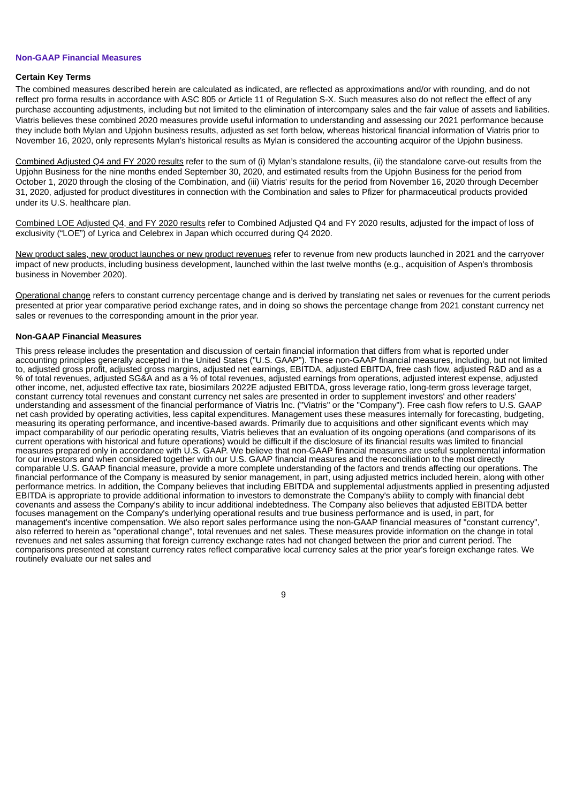#### **Non-GAAP Financial Measures**

#### **Certain Key Terms**

The combined measures described herein are calculated as indicated, are reflected as approximations and/or with rounding, and do not reflect pro forma results in accordance with ASC 805 or Article 11 of Regulation S-X. Such measures also do not reflect the effect of any purchase accounting adjustments, including but not limited to the elimination of intercompany sales and the fair value of assets and liabilities. Viatris believes these combined 2020 measures provide useful information to understanding and assessing our 2021 performance because they include both Mylan and Upjohn business results, adjusted as set forth below, whereas historical financial information of Viatris prior to November 16, 2020, only represents Mylan's historical results as Mylan is considered the accounting acquiror of the Upjohn business.

Combined Adjusted Q4 and FY 2020 results refer to the sum of (i) Mylan's standalone results, (ii) the standalone carve-out results from the Upjohn Business for the nine months ended September 30, 2020, and estimated results from the Upjohn Business for the period from October 1, 2020 through the closing of the Combination, and (iii) Viatris' results for the period from November 16, 2020 through December 31, 2020, adjusted for product divestitures in connection with the Combination and sales to Pfizer for pharmaceutical products provided under its U.S. healthcare plan.

Combined LOE Adjusted Q4, and FY 2020 results refer to Combined Adjusted Q4 and FY 2020 results, adjusted for the impact of loss of exclusivity ("LOE") of Lyrica and Celebrex in Japan which occurred during Q4 2020.

New product sales, new product launches or new product revenues refer to revenue from new products launched in 2021 and the carryover impact of new products, including business development, launched within the last twelve months (e.g., acquisition of Aspen's thrombosis business in November 2020).

Operational change refers to constant currency percentage change and is derived by translating net sales or revenues for the current periods presented at prior year comparative period exchange rates, and in doing so shows the percentage change from 2021 constant currency net sales or revenues to the corresponding amount in the prior year.

#### **Non-GAAP Financial Measures**

This press release includes the presentation and discussion of certain financial information that differs from what is reported under accounting principles generally accepted in the United States ("U.S. GAAP"). These non-GAAP financial measures, including, but not limited to, adjusted gross profit, adjusted gross margins, adjusted net earnings, EBITDA, adjusted EBITDA, free cash flow, adjusted R&D and as a % of total revenues, adjusted SG&A and as a % of total revenues, adjusted earnings from operations, adjusted interest expense, adjusted other income, net, adjusted effective tax rate, biosimilars 2022E adjusted EBITDA, gross leverage ratio, long-term gross leverage target, constant currency total revenues and constant currency net sales are presented in order to supplement investors' and other readers' understanding and assessment of the financial performance of Viatris Inc. ("Viatris" or the "Company"). Free cash flow refers to U.S. GAAP net cash provided by operating activities, less capital expenditures. Management uses these measures internally for forecasting, budgeting, measuring its operating performance, and incentive-based awards. Primarily due to acquisitions and other significant events which may impact comparability of our periodic operating results, Viatris believes that an evaluation of its ongoing operations (and comparisons of its current operations with historical and future operations) would be difficult if the disclosure of its financial results was limited to financial measures prepared only in accordance with U.S. GAAP. We believe that non-GAAP financial measures are useful supplemental information for our investors and when considered together with our U.S. GAAP financial measures and the reconciliation to the most directly comparable U.S. GAAP financial measure, provide a more complete understanding of the factors and trends affecting our operations. The financial performance of the Company is measured by senior management, in part, using adjusted metrics included herein, along with other performance metrics. In addition, the Company believes that including EBITDA and supplemental adjustments applied in presenting adjusted EBITDA is appropriate to provide additional information to investors to demonstrate the Company's ability to comply with financial debt covenants and assess the Company's ability to incur additional indebtedness. The Company also believes that adjusted EBITDA better focuses management on the Company's underlying operational results and true business performance and is used, in part, for management's incentive compensation. We also report sales performance using the non-GAAP financial measures of "constant currency", also referred to herein as "operational change", total revenues and net sales. These measures provide information on the change in total revenues and net sales assuming that foreign currency exchange rates had not changed between the prior and current period. The comparisons presented at constant currency rates reflect comparative local currency sales at the prior year's foreign exchange rates. We routinely evaluate our net sales and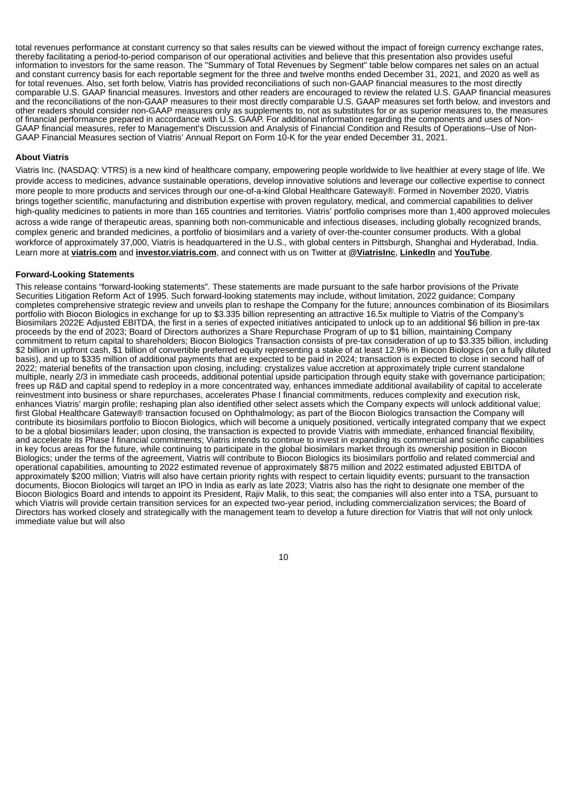total revenues performance at constant currency so that sales results can be viewed without the impact of foreign currency exchange rates, thereby facilitating a period-to-period comparison of our operational activities and believe that this presentation also provides useful information to investors for the same reason. The "Summary of Total Revenues by Segment" table below compares net sales on an actual and constant currency basis for each reportable segment for the three and twelve months ended December 31, 2021, and 2020 as well as for total revenues. Also, set forth below, Viatris has provided reconciliations of such non-GAAP financial measures to the most directly comparable U.S. GAAP financial measures. Investors and other readers are encouraged to review the related U.S. GAAP financial measures and the reconciliations of the non-GAAP measures to their most directly comparable U.S. GAAP measures set forth below, and investors and other readers should consider non-GAAP measures only as supplements to, not as substitutes for or as superior measures to, the measures of financial performance prepared in accordance with U.S. GAAP. For additional information regarding the components and uses of Non-GAAP financial measures, refer to Management's Discussion and Analysis of Financial Condition and Results of Operations--Use of Non-GAAP Financial Measures section of Viatris' Annual Report on Form 10-K for the year ended December 31, 2021.

#### **About Viatris**

Viatris Inc. (NASDAQ: VTRS) is a new kind of healthcare company, empowering people worldwide to live healthier at every stage of life. We provide access to medicines, advance sustainable operations, develop innovative solutions and leverage our collective expertise to connect more people to more products and services through our one-of-a-kind Global Healthcare Gateway®. Formed in November 2020, Viatris brings together scientific, manufacturing and distribution expertise with proven regulatory, medical, and commercial capabilities to deliver high-quality medicines to patients in more than 165 countries and territories. Viatris' portfolio comprises more than 1,400 approved molecules across a wide range of therapeutic areas, spanning both non-communicable and infectious diseases, including globally recognized brands, complex generic and branded medicines, a portfolio of biosimilars and a variety of over-the-counter consumer products. With a global workforce of approximately 37,000, Viatris is headquartered in the U.S., with global centers in Pittsburgh, Shanghai and Hyderabad, India. Learn more at **viatris.com** and **investor.viatris.com**, and connect with us on Twitter at **@ViatrisInc**, **LinkedIn** and **YouTube**.

#### **Forward-Looking Statements**

This release contains "forward-looking statements". These statements are made pursuant to the safe harbor provisions of the Private Securities Litigation Reform Act of 1995. Such forward-looking statements may include, without limitation, 2022 guidance; Company completes comprehensive strategic review and unveils plan to reshape the Company for the future; announces combination of its Biosimilars portfolio with Biocon Biologics in exchange for up to \$3.335 billion representing an attractive 16.5x multiple to Viatris of the Company's Biosimilars 2022E Adjusted EBITDA, the first in a series of expected initiatives anticipated to unlock up to an additional \$6 billion in pre-tax proceeds by the end of 2023; Board of Directors authorizes a Share Repurchase Program of up to \$1 billion, maintaining Company commitment to return capital to shareholders; Biocon Biologics Transaction consists of pre-tax consideration of up to \$3.335 billion, including \$2 billion in upfront cash, \$1 billion of convertible preferred equity representing a stake of at least 12.9% in Biocon Biologics (on a fully diluted basis), and up to \$335 million of additional payments that are expected to be paid in 2024; transaction is expected to close in second half of 2022; material benefits of the transaction upon closing, including: crystalizes value accretion at approximately triple current standalone multiple, nearly 2/3 in immediate cash proceeds, additional potential upside participation through equity stake with governance participation; frees up R&D and capital spend to redeploy in a more concentrated way, enhances immediate additional availability of capital to accelerate reinvestment into business or share repurchases, accelerates Phase I financial commitments, reduces complexity and execution risk, enhances Viatris' margin profile; reshaping plan also identified other select assets which the Company expects will unlock additional value; first Global Healthcare Gateway® transaction focused on Ophthalmology; as part of the Biocon Biologics transaction the Company will contribute its biosimilars portfolio to Biocon Biologics, which will become a uniquely positioned, vertically integrated company that we expect to be a global biosimilars leader; upon closing, the transaction is expected to provide Viatris with immediate, enhanced financial flexibility, and accelerate its Phase I financial commitments; Viatris intends to continue to invest in expanding its commercial and scientific capabilities in key focus areas for the future, while continuing to participate in the global biosimilars market through its ownership position in Biocon Biologics; under the terms of the agreement, Viatris will contribute to Biocon Biologics its biosimilars portfolio and related commercial and operational capabilities, amounting to 2022 estimated revenue of approximately \$875 million and 2022 estimated adjusted EBITDA of approximately \$200 million; Viatris will also have certain priority rights with respect to certain liquidity events; pursuant to the transaction documents, Biocon Biologics will target an IPO in India as early as late 2023; Viatris also has the right to designate one member of the Biocon Biologics Board and intends to appoint its President, Rajiv Malik, to this seat; the companies will also enter into a TSA, pursuant to which Viatris will provide certain transition services for an expected two-year period, including commercialization services; the Board of Directors has worked closely and strategically with the management team to develop a future direction for Viatris that will not only unlock immediate value but will also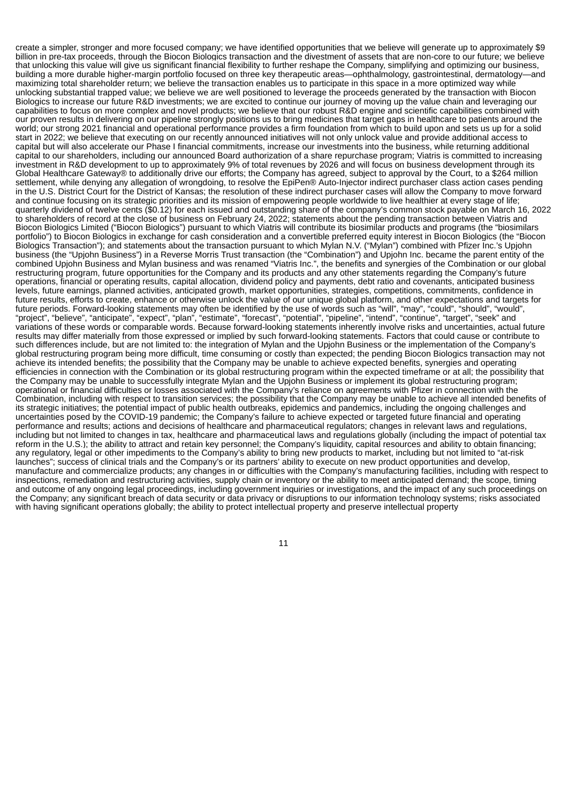create a simpler, stronger and more focused company; we have identified opportunities that we believe will generate up to approximately \$9 billion in pre-tax proceeds, through the Biocon Biologics transaction and the divestment of assets that are non-core to our future; we believe that unlocking this value will give us significant financial flexibility to further reshape the Company, simplifying and optimizing our business, building a more durable higher-margin portfolio focused on three key therapeutic areas—ophthalmology, gastrointestinal, dermatologymaximizing total shareholder return; we believe the transaction enables us to participate in this space in a more optimized way while unlocking substantial trapped value; we believe we are well positioned to leverage the proceeds generated by the transaction with Biocon Biologics to increase our future R&D investments; we are excited to continue our journey of moving up the value chain and leveraging our capabilities to focus on more complex and novel products; we believe that our robust R&D engine and scientific capabilities combined with our proven results in delivering on our pipeline strongly positions us to bring medicines that target gaps in healthcare to patients around the world; our strong 2021 financial and operational performance provides a firm foundation from which to build upon and sets us up for a solid start in 2022; we believe that executing on our recently announced initiatives will not only unlock value and provide additional access to capital but will also accelerate our Phase I financial commitments, increase our investments into the business, while returning additional capital to our shareholders, including our announced Board authorization of a share repurchase program; Viatris is committed to increasing investment in R&D development to up to approximately 9% of total revenues by 2026 and will focus on business development through its Global Healthcare Gateway® to additionally drive our efforts; the Company has agreed, subject to approval by the Court, to a \$264 million settlement, while denying any allegation of wrongdoing, to resolve the EpiPen® Auto-Injector indirect purchaser class action cases pending in the U.S. District Court for the District of Kansas; the resolution of these indirect purchaser cases will allow the Company to move forward and continue focusing on its strategic priorities and its mission of empowering people worldwide to live healthier at every stage of life; quarterly dividend of twelve cents (\$0.12) for each issued and outstanding share of the company's common stock payable on March 16, 2022 to shareholders of record at the close of business on February 24, 2022; statements about the pending transaction between Viatris and Biocon Biologics Limited ("Biocon Biologics") pursuant to which Viatris will contribute its biosimilar products and programs (the "biosimilars portfolio") to Biocon Biologics in exchange for cash consideration and a convertible preferred equity interest in Biocon Biologics (the "Biocon Biologics Transaction"); and statements about the transaction pursuant to which Mylan N.V. ("Mylan") combined with Pfizer Inc.'s Upjohn business (the "Upjohn Business") in a Reverse Morris Trust transaction (the "Combination") and Upjohn Inc. became the parent entity of the combined Upjohn Business and Mylan business and was renamed "Viatris Inc.", the benefits and synergies of the Combination or our global restructuring program, future opportunities for the Company and its products and any other statements regarding the Company's future operations, financial or operating results, capital allocation, dividend policy and payments, debt ratio and covenants, anticipated business levels, future earnings, planned activities, anticipated growth, market opportunities, strategies, competitions, commitments, confidence in future results, efforts to create, enhance or otherwise unlock the value of our unique global platform, and other expectations and targets for future periods. Forward-looking statements may often be identified by the use of words such as "will", "may", "could", "should", "would", "project", "believe", "anticipate", "expect", "plan", "estimate", "forecast", "potential", "pipeline", "intend", "continue", "target", "seek" and variations of these words or comparable words. Because forward-looking statements inherently involve risks and uncertainties, actual future results may differ materially from those expressed or implied by such forward-looking statements. Factors that could cause or contribute to such differences include, but are not limited to: the integration of Mylan and the Upjohn Business or the implementation of the Company's global restructuring program being more difficult, time consuming or costly than expected; the pending Biocon Biologics transaction may not achieve its intended benefits; the possibility that the Company may be unable to achieve expected benefits, synergies and operating efficiencies in connection with the Combination or its global restructuring program within the expected timeframe or at all; the possibility that the Company may be unable to successfully integrate Mylan and the Upjohn Business or implement its global restructuring program; operational or financial difficulties or losses associated with the Company's reliance on agreements with Pfizer in connection with the Combination, including with respect to transition services; the possibility that the Company may be unable to achieve all intended benefits of its strategic initiatives; the potential impact of public health outbreaks, epidemics and pandemics, including the ongoing challenges and uncertainties posed by the COVID-19 pandemic; the Company's failure to achieve expected or targeted future financial and operating performance and results; actions and decisions of healthcare and pharmaceutical regulators; changes in relevant laws and regulations, including but not limited to changes in tax, healthcare and pharmaceutical laws and regulations globally (including the impact of potential tax reform in the U.S.); the ability to attract and retain key personnel; the Company's liquidity, capital resources and ability to obtain financing; any regulatory, legal or other impediments to the Company's ability to bring new products to market, including but not limited to "at-risk launches"; success of clinical trials and the Company's or its partners' ability to execute on new product opportunities and develop, manufacture and commercialize products; any changes in or difficulties with the Company's manufacturing facilities, including with respect to inspections, remediation and restructuring activities, supply chain or inventory or the ability to meet anticipated demand; the scope, timing and outcome of any ongoing legal proceedings, including government inquiries or investigations, and the impact of any such proceedings on the Company; any significant breach of data security or data privacy or disruptions to our information technology systems; risks associated with having significant operations globally; the ability to protect intellectual property and preserve intellectual property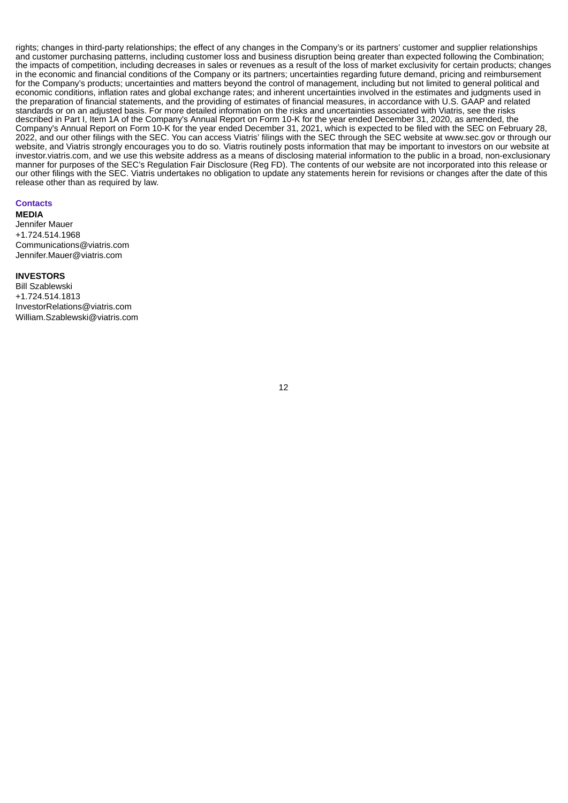rights; changes in third-party relationships; the effect of any changes in the Company's or its partners' customer and supplier relationships and customer purchasing patterns, including customer loss and business disruption being greater than expected following the Combination; the impacts of competition, including decreases in sales or revenues as a result of the loss of market exclusivity for certain products; changes in the economic and financial conditions of the Company or its partners; uncertainties regarding future demand, pricing and reimbursement for the Company's products; uncertainties and matters beyond the control of management, including but not limited to general political and economic conditions, inflation rates and global exchange rates; and inherent uncertainties involved in the estimates and judgments used in the preparation of financial statements, and the providing of estimates of financial measures, in accordance with U.S. GAAP and related standards or on an adjusted basis. For more detailed information on the risks and uncertainties associated with Viatris, see the risks described in Part I, Item 1A of the Company's Annual Report on Form 10-K for the year ended December 31, 2020, as amended, the Company's Annual Report on Form 10-K for the year ended December 31, 2021, which is expected to be filed with the SEC on February 28, 2022, and our other filings with the SEC. You can access Viatris' filings with the SEC through the SEC website at www.sec.gov or through our website, and Viatris strongly encourages you to do so. Viatris routinely posts information that may be important to investors on our website at investor.viatris.com, and we use this website address as a means of disclosing material information to the public in a broad, non-exclusionary manner for purposes of the SEC's Regulation Fair Disclosure (Reg FD). The contents of our website are not incorporated into this release or our other filings with the SEC. Viatris undertakes no obligation to update any statements herein for revisions or changes after the date of this release other than as required by law.

#### **Contacts**

**MEDIA**

Jennifer Mauer +1.724.514.1968 Communications@viatris.com Jennifer.Mauer@viatris.com

### **INVESTORS**

Bill Szablewski +1.724.514.1813 InvestorRelations@viatris.com William.Szablewski@viatris.com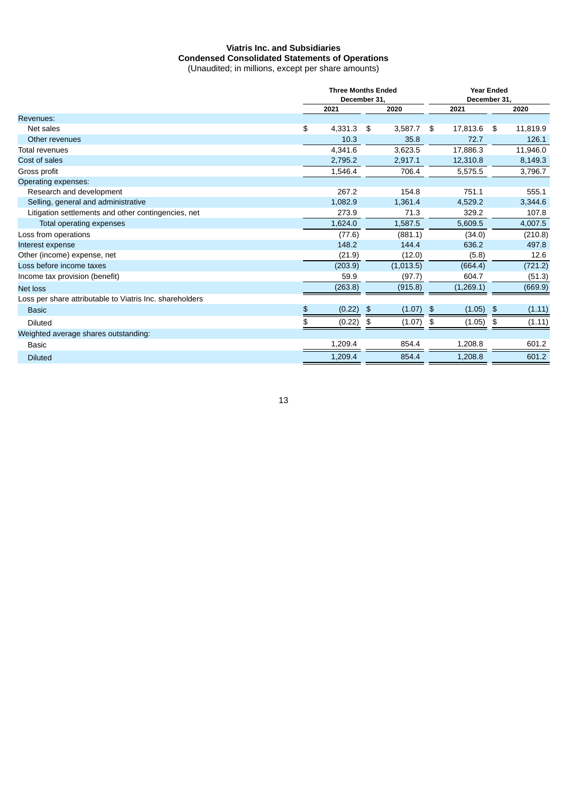### **Viatris Inc. and Subsidiaries Condensed Consolidated Statements of Operations** (Unaudited; in millions, except per share amounts)

|                                                          | <b>Three Months Ended</b><br>December 31. |         |               |           |    | <b>Year Ended</b><br>December 31. |    |          |  |
|----------------------------------------------------------|-------------------------------------------|---------|---------------|-----------|----|-----------------------------------|----|----------|--|
|                                                          |                                           | 2021    |               | 2020      |    | 2021                              |    | 2020     |  |
| Revenues:                                                |                                           |         |               |           |    |                                   |    |          |  |
| Net sales                                                | \$                                        | 4,331.3 | \$            | 3,587.7   | \$ | 17,813.6                          | \$ | 11,819.9 |  |
| Other revenues                                           |                                           | 10.3    |               | 35.8      |    | 72.7                              |    | 126.1    |  |
| <b>Total revenues</b>                                    |                                           | 4,341.6 |               | 3,623.5   |    | 17,886.3                          |    | 11,946.0 |  |
| Cost of sales                                            |                                           | 2,795.2 |               | 2,917.1   |    | 12,310.8                          |    | 8,149.3  |  |
| Gross profit                                             |                                           | 1,546.4 |               | 706.4     |    | 5,575.5                           |    | 3,796.7  |  |
| Operating expenses:                                      |                                           |         |               |           |    |                                   |    |          |  |
| Research and development                                 |                                           | 267.2   |               | 154.8     |    | 751.1                             |    | 555.1    |  |
| Selling, general and administrative                      |                                           | 1,082.9 |               | 1,361.4   |    | 4,529.2                           |    | 3,344.6  |  |
| Litigation settlements and other contingencies, net      |                                           | 273.9   |               | 71.3      |    | 329.2                             |    | 107.8    |  |
| Total operating expenses                                 |                                           | 1,624.0 |               | 1,587.5   |    | 5.609.5                           |    | 4,007.5  |  |
| Loss from operations                                     |                                           | (77.6)  |               | (881.1)   |    | (34.0)                            |    | (210.8)  |  |
| Interest expense                                         |                                           | 148.2   |               | 144.4     |    | 636.2                             |    | 497.8    |  |
| Other (income) expense, net                              |                                           | (21.9)  |               | (12.0)    |    | (5.8)                             |    | 12.6     |  |
| Loss before income taxes                                 |                                           | (203.9) |               | (1,013.5) |    | (664.4)                           |    | (721.2)  |  |
| Income tax provision (benefit)                           |                                           | 59.9    |               | (97.7)    |    | 604.7                             |    | (51.3)   |  |
| <b>Net loss</b>                                          |                                           | (263.8) |               | (915.8)   |    | (1,269.1)                         |    | (669.9)  |  |
| Loss per share attributable to Viatris Inc. shareholders |                                           |         |               |           |    |                                   |    |          |  |
| <b>Basic</b>                                             | \$                                        | (0.22)  | $\frac{4}{5}$ | (1.07)    | \$ | (1.05)                            | \$ | (1.11)   |  |
| <b>Diluted</b>                                           | \$                                        | (0.22)  | \$            | (1.07)    | \$ | (1.05)                            | \$ | (1.11)   |  |
| Weighted average shares outstanding:                     |                                           |         |               |           |    |                                   |    |          |  |
| <b>Basic</b>                                             |                                           | 1.209.4 |               | 854.4     |    | 1,208.8                           |    | 601.2    |  |
| <b>Diluted</b>                                           |                                           | 1,209.4 |               | 854.4     |    | 1,208.8                           |    | 601.2    |  |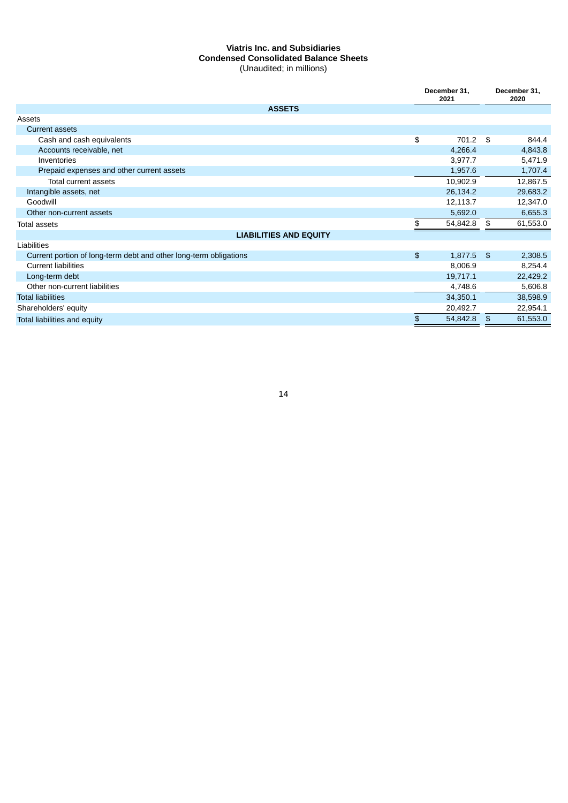### **Viatris Inc. and Subsidiaries Condensed Consolidated Balance Sheets** (Unaudited; in millions)

|                                                                   |     | December 31.<br>2021 |    | December 31,<br>2020 |  |
|-------------------------------------------------------------------|-----|----------------------|----|----------------------|--|
| <b>ASSETS</b>                                                     |     |                      |    |                      |  |
| Assets                                                            |     |                      |    |                      |  |
| <b>Current assets</b>                                             |     |                      |    |                      |  |
| Cash and cash equivalents                                         | \$  | 701.2                | \$ | 844.4                |  |
| Accounts receivable, net                                          |     | 4,266.4              |    | 4,843.8              |  |
| Inventories                                                       |     | 3,977.7              |    | 5,471.9              |  |
| Prepaid expenses and other current assets                         |     | 1,957.6              |    | 1,707.4              |  |
| Total current assets                                              |     | 10,902.9             |    | 12,867.5             |  |
| Intangible assets, net                                            |     | 26,134.2             |    | 29,683.2             |  |
| Goodwill                                                          |     | 12,113.7             |    | 12,347.0             |  |
| Other non-current assets                                          |     | 5,692.0              |    | 6,655.3              |  |
| Total assets                                                      | \$. | 54,842.8             | \$ | 61,553.0             |  |
| <b>LIABILITIES AND EQUITY</b>                                     |     |                      |    |                      |  |
| Liabilities                                                       |     |                      |    |                      |  |
| Current portion of long-term debt and other long-term obligations | \$  | 1,877.5              | \$ | 2,308.5              |  |
| <b>Current liabilities</b>                                        |     | 8,006.9              |    | 8,254.4              |  |
| Long-term debt                                                    |     | 19,717.1             |    | 22,429.2             |  |
| Other non-current liabilities                                     |     | 4,748.6              |    | 5,606.8              |  |
| <b>Total liabilities</b>                                          |     | 34,350.1             |    | 38,598.9             |  |
| Shareholders' equity                                              |     | 20,492.7             |    | 22,954.1             |  |
| Total liabilities and equity                                      | \$  | 54,842.8             | \$ | 61,553.0             |  |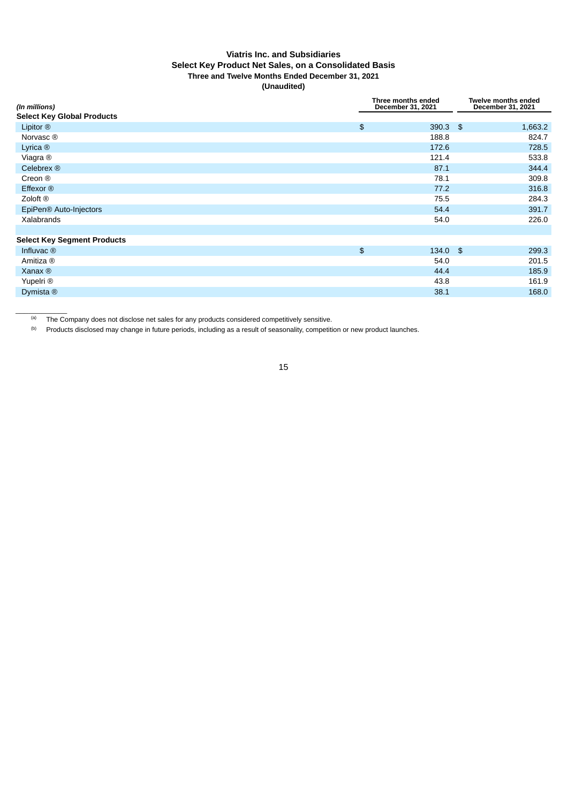### **Viatris Inc. and Subsidiaries Select Key Product Net Sales, on a Consolidated Basis Three and Twelve Months Ended December 31, 2021 (Unaudited)**

| (In millions)                      |               | Three months ended<br>December 31, 2021 | <b>Twelve months ended</b><br>December 31, 2021 |  |  |  |
|------------------------------------|---------------|-----------------------------------------|-------------------------------------------------|--|--|--|
| <b>Select Key Global Products</b>  |               |                                         |                                                 |  |  |  |
| Lipitor $@$                        | $\frac{2}{3}$ | $390.3$ \$                              | 1,663.2                                         |  |  |  |
| Norvasc <sup>®</sup>               |               | 188.8                                   | 824.7                                           |  |  |  |
| Lyrica $@$                         |               | 172.6                                   | 728.5                                           |  |  |  |
| Viagra ®                           |               | 121.4                                   | 533.8                                           |  |  |  |
| Celebrex ®                         |               | 87.1                                    | 344.4                                           |  |  |  |
| Creon ®                            |               | 78.1                                    | 309.8                                           |  |  |  |
| Effexor ®                          |               | 77.2                                    | 316.8                                           |  |  |  |
| Zoloft ®                           |               | 75.5                                    | 284.3                                           |  |  |  |
| EpiPen <sup>®</sup> Auto-Injectors |               | 54.4                                    | 391.7                                           |  |  |  |
| Xalabrands                         |               | 54.0                                    | 226.0                                           |  |  |  |
|                                    |               |                                         |                                                 |  |  |  |
| <b>Select Key Segment Products</b> |               |                                         |                                                 |  |  |  |
| Influvac ®                         | \$            | $134.0$ \$                              | 299.3                                           |  |  |  |
| Amitiza ®                          |               | 54.0                                    | 201.5                                           |  |  |  |
| Xanax $\circledR$                  |               | 44.4                                    | 185.9                                           |  |  |  |
| Yupelri ®                          |               | 43.8                                    | 161.9                                           |  |  |  |
| Dymista $@$                        |               | 38.1                                    | 168.0                                           |  |  |  |
|                                    |               |                                         |                                                 |  |  |  |

The Company does not disclose net sales for any products considered competitively sensitive. (a)

 $\overline{\phantom{a}}$  , where  $\overline{\phantom{a}}$ 

 $<sup>(b)</sup>$  Products disclosed may change in future periods, including as a result of seasonality, competition or new product launches.</sup>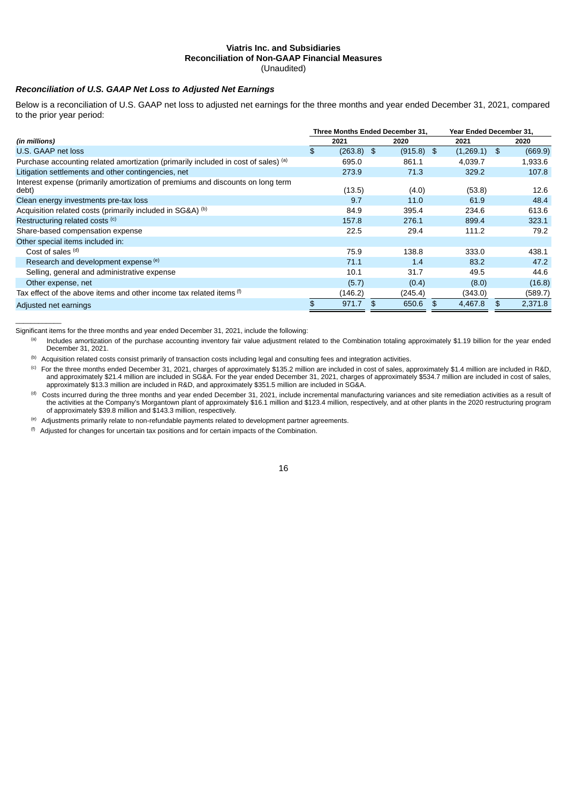#### **Viatris Inc. and Subsidiaries Reconciliation of Non-GAAP Financial Measures** (Unaudited)

# *Reconciliation of U.S. GAAP Net Loss to Adjusted Net Earnings*

Below is a reconciliation of U.S. GAAP net loss to adjusted net earnings for the three months and year ended December 31, 2021, compared to the prior year period:

|                                                                                          | Three Months Ended December 31. |         |    |              |    | Year Ended December 31. |    |         |
|------------------------------------------------------------------------------------------|---------------------------------|---------|----|--------------|----|-------------------------|----|---------|
| (in millions)                                                                            |                                 | 2021    |    | 2020         |    | 2021                    |    | 2020    |
| U.S. GAAP net loss                                                                       | \$                              | (263.8) | \$ | $(915.8)$ \$ |    | (1,269.1)               | \$ | (669.9) |
| Purchase accounting related amortization (primarily included in cost of sales) (a)       |                                 | 695.0   |    | 861.1        |    | 4.039.7                 |    | 1,933.6 |
| Litigation settlements and other contingencies, net                                      |                                 | 273.9   |    | 71.3         |    | 329.2                   |    | 107.8   |
| Interest expense (primarily amortization of premiums and discounts on long term<br>debt) |                                 | (13.5)  |    | (4.0)        |    | (53.8)                  |    | 12.6    |
| Clean energy investments pre-tax loss                                                    |                                 | 9.7     |    | 11.0         |    | 61.9                    |    | 48.4    |
| Acquisition related costs (primarily included in SG&A) (b)                               |                                 | 84.9    |    | 395.4        |    | 234.6                   |    | 613.6   |
| Restructuring related costs (c)                                                          |                                 | 157.8   |    | 276.1        |    | 899.4                   |    | 323.1   |
| Share-based compensation expense                                                         |                                 | 22.5    |    | 29.4         |    | 111.2                   |    | 79.2    |
| Other special items included in:                                                         |                                 |         |    |              |    |                         |    |         |
| Cost of sales (d)                                                                        |                                 | 75.9    |    | 138.8        |    | 333.0                   |    | 438.1   |
| Research and development expense (e)                                                     |                                 | 71.1    |    | 1.4          |    | 83.2                    |    | 47.2    |
| Selling, general and administrative expense                                              |                                 | 10.1    |    | 31.7         |    | 49.5                    |    | 44.6    |
| Other expense, net                                                                       |                                 | (5.7)   |    | (0.4)        |    | (8.0)                   |    | (16.8)  |
| Tax effect of the above items and other income tax related items (f)                     |                                 | (146.2) |    | (245.4)      |    | (343.0)                 |    | (589.7) |
| Adjusted net earnings                                                                    | \$                              | 971.7   | \$ | 650.6        | \$ | 4.467.8                 | \$ | 2,371.8 |

Significant items for the three months and year ended December 31, 2021, include the following:

 $\mathcal{L}_\text{max}$  and  $\mathcal{L}_\text{max}$ 

 $<sup>(b)</sup>$  Acquisition related costs consist primarily of transaction costs including legal and consulting fees and integration activities.</sup>

 $^{\text{(c)}}$  For the three months ended December 31, 2021, charges of approximately \$135.2 million are included in cost of sales, approximately \$1.4 million are included in R&D, and approximately \$21.4 million are included in SG&A. For the year ended December 31, 2021, charges of approximately \$534.7 million are included in cost of sales, approximately \$13.3 million are included in R&D, and approximately \$351.5 million are included in SG&A.

 $<sup>(d)</sup>$  Costs incurred during the three months and year ended December 31, 2021, include incremental manufacturing variances and site remediation activities as a result of</sup> the activities at the Company's Morgantown plant of approximately \$16.1 million and \$123.4 million, respectively, and at other plants in the 2020 restructuring program of approximately \$39.8 million and \$143.3 million, respectively.

<sup>(e)</sup> Adjustments primarily relate to non-refundable payments related to development partner agreements.

 $<sup>(f)</sup>$  Adjusted for changes for uncertain tax positions and for certain impacts of the Combination.</sup>

Includes amortization of the purchase accounting inventory fair value adjustment related to the Combination totaling approximately \$1.19 billion for the year ended December 31, 2021. (a)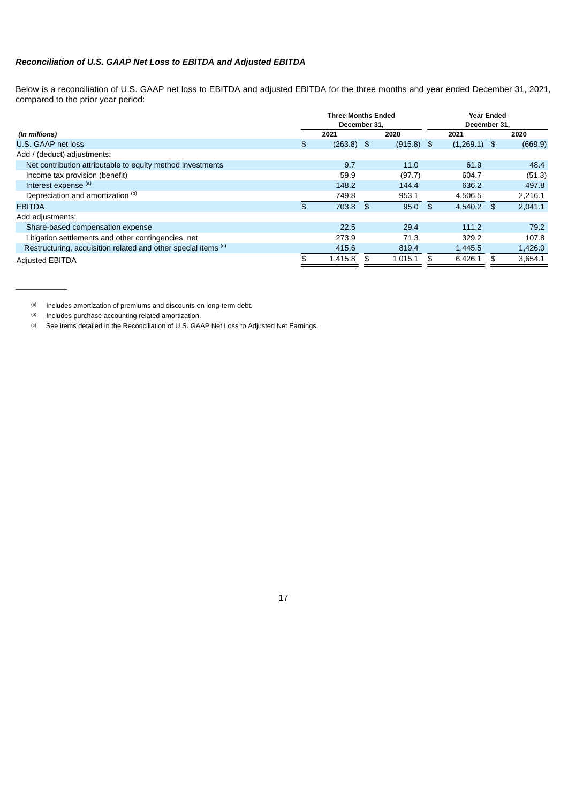### *Reconciliation of U.S. GAAP Net Loss to EBITDA and Adjusted EBITDA*

Below is a reconciliation of U.S. GAAP net loss to EBITDA and adjusted EBITDA for the three months and year ended December 31, 2021, compared to the prior year period:

|                                                                           | <b>Three Months Ended</b><br>December 31. |    | <b>Year Ended</b><br>December 31. |  |                |     |         |
|---------------------------------------------------------------------------|-------------------------------------------|----|-----------------------------------|--|----------------|-----|---------|
| (In millions)                                                             | 2021                                      |    | 2020                              |  | 2021           |     | 2020    |
| U.S. GAAP net loss                                                        | \$<br>$(263.8)$ \$                        |    | $(915.8)$ \$                      |  | $(1,269.1)$ \$ |     | (669.9) |
| Add / (deduct) adjustments:                                               |                                           |    |                                   |  |                |     |         |
| Net contribution attributable to equity method investments                | 9.7                                       |    | 11.0                              |  | 61.9           |     | 48.4    |
| Income tax provision (benefit)                                            | 59.9                                      |    | (97.7)                            |  | 604.7          |     | (51.3)  |
| Interest expense (a)                                                      | 148.2                                     |    | 144.4                             |  | 636.2          |     | 497.8   |
| Depreciation and amortization (b)                                         | 749.8                                     |    | 953.1                             |  | 4,506.5        |     | 2,216.1 |
| <b>EBITDA</b>                                                             | \$<br>703.8                               | \$ | $95.0$ \$                         |  | 4,540.2        | -\$ | 2,041.1 |
| Add adjustments:                                                          |                                           |    |                                   |  |                |     |         |
| Share-based compensation expense                                          | 22.5                                      |    | 29.4                              |  | 111.2          |     | 79.2    |
| Litigation settlements and other contingencies, net                       | 273.9                                     |    | 71.3                              |  | 329.2          |     | 107.8   |
| Restructuring, acquisition related and other special items <sup>(c)</sup> | 415.6                                     |    | 819.4                             |  | 1,445.5        |     | 1,426.0 |
| <b>Adjusted EBITDA</b>                                                    | \$<br>1,415.8                             |    | 1,015.1                           |  | 6,426.1        |     | 3,654.1 |

(a) Includes amortization of premiums and discounts on long-term debt.

Includes purchase accounting related amortization. (b)

\_\_\_\_\_\_\_\_\_\_\_\_

See items detailed in the Reconciliation of U.S. GAAP Net Loss to Adjusted Net Earnings. (c)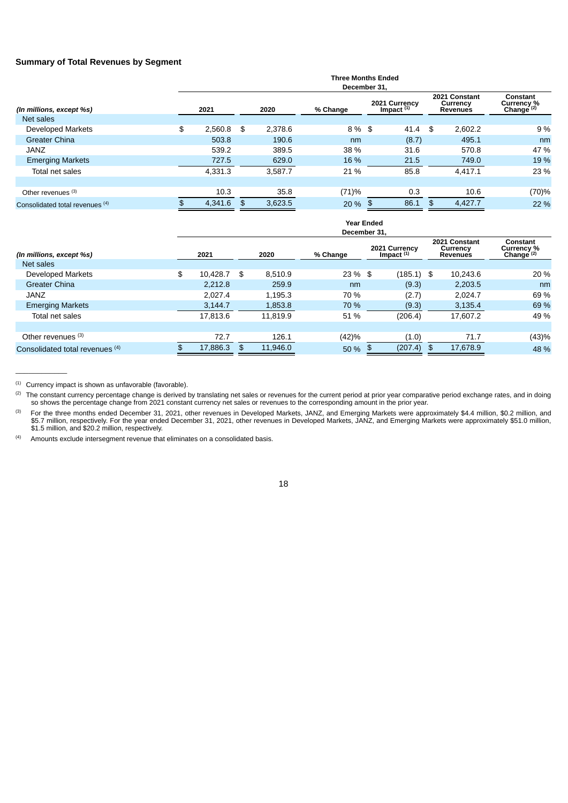#### **Summary of Total Revenues by Segment**

|                                 | <b>Three Months Ended</b><br>December 31. |     |         |          |                               |    |                                              |                                        |  |  |  |  |
|---------------------------------|-------------------------------------------|-----|---------|----------|-------------------------------|----|----------------------------------------------|----------------------------------------|--|--|--|--|
| (In millions, except %s)        | 2021                                      |     | 2020    | % Change | 2021 Currency<br>Impact $(1)$ |    | 2021 Constant<br>Currency<br><b>Revenues</b> | Constant<br>Currency %<br>Change $(2)$ |  |  |  |  |
| Net sales                       |                                           |     |         |          |                               |    |                                              |                                        |  |  |  |  |
| <b>Developed Markets</b>        | \$<br>2.560.8                             | -\$ | 2.378.6 | 8 % \$   | 41.4                          | \$ | 2.602.2                                      | 9 %                                    |  |  |  |  |
| <b>Greater China</b>            | 503.8                                     |     | 190.6   | nm       | (8.7)                         |    | 495.1                                        | nm                                     |  |  |  |  |
| <b>JANZ</b>                     | 539.2                                     |     | 389.5   | 38 %     | 31.6                          |    | 570.8                                        | 47 %                                   |  |  |  |  |
| <b>Emerging Markets</b>         | 727.5                                     |     | 629.0   | 16 %     | 21.5                          |    | 749.0                                        | 19 %                                   |  |  |  |  |
| Total net sales                 | 4,331.3                                   |     | 3,587.7 | 21 %     | 85.8                          |    | 4,417.1                                      | 23 %                                   |  |  |  |  |
|                                 |                                           |     |         |          |                               |    |                                              |                                        |  |  |  |  |
| Other revenues (3)              | 10.3                                      |     | 35.8    | (71)%    | 0.3                           |    | 10.6                                         | (70)%                                  |  |  |  |  |
| Consolidated total revenues (4) | 4,341.6                                   | \$  | 3,623.5 | 20 %     | 86.1                          | \$ | 4,427.7                                      | 22 %                                   |  |  |  |  |

|                                 | <b>Year Ended</b><br>December 31. |    |          |           |                               |              |                                              |          |                                        |  |  |  |
|---------------------------------|-----------------------------------|----|----------|-----------|-------------------------------|--------------|----------------------------------------------|----------|----------------------------------------|--|--|--|
| (In millions, except %s)        | 2021                              |    | 2020     | % Change  | 2021 Currency<br>Impact $(1)$ |              | 2021 Constant<br>Currency<br><b>Revenues</b> |          | Constant<br>Currency %<br>Change $(2)$ |  |  |  |
| Net sales                       |                                   |    |          |           |                               |              |                                              |          |                                        |  |  |  |
| <b>Developed Markets</b>        | \$<br>10.428.7                    | \$ | 8.510.9  | $23\%$ \$ |                               | $(185.1)$ \$ |                                              | 10.243.6 | 20 %                                   |  |  |  |
| <b>Greater China</b>            | 2,212.8                           |    | 259.9    | nm        |                               | (9.3)        |                                              | 2,203.5  | nm                                     |  |  |  |
| <b>JANZ</b>                     | 2.027.4                           |    | 1.195.3  | 70 %      |                               | (2.7)        |                                              | 2.024.7  | 69 %                                   |  |  |  |
| <b>Emerging Markets</b>         | 3.144.7                           |    | 1,853.8  | 70 %      |                               | (9.3)        |                                              | 3,135.4  | 69 %                                   |  |  |  |
| Total net sales                 | 17.813.6                          |    | 11,819.9 | 51 %      |                               | (206.4)      |                                              | 17,607.2 | 49 %                                   |  |  |  |
|                                 |                                   |    |          |           |                               |              |                                              |          |                                        |  |  |  |
| Other revenues (3)              | 72.7                              |    | 126.1    | (42)%     |                               | (1.0)        |                                              | 71.7     | (43)%                                  |  |  |  |
| Consolidated total revenues (4) | 17,886.3                          | \$ | 11,946.0 | 50 %      |                               | (207.4)      | - \$                                         | 17,678.9 | 48 %                                   |  |  |  |

 $(1)$  Currency impact is shown as unfavorable (favorable).

\_\_\_\_\_\_\_\_\_\_\_\_

Amounts exclude intersegment revenue that eliminates on a consolidated basis.  $(4)$ 

 $^{(2)}$  The constant currency percentage change is derived by translating net sales or revenues for the current period at prior year comparative period exchange rates, and in doing so shows the percentage change from 2021 constant currency net sales or revenues to the corresponding amount in the prior year.

For the three months ended December 31, 2021, other revenues in Developed Markets, JANZ, and Emerging Markets were approximately \$4.4 million, \$0.2 million, and \$5.7 million, respectively. For the year ended December 31, 2021, other revenues in Developed Markets, JANZ, and Emerging Markets were approximately \$51.0 million, \$1.5 million, and \$20.2 million, respectively. (3)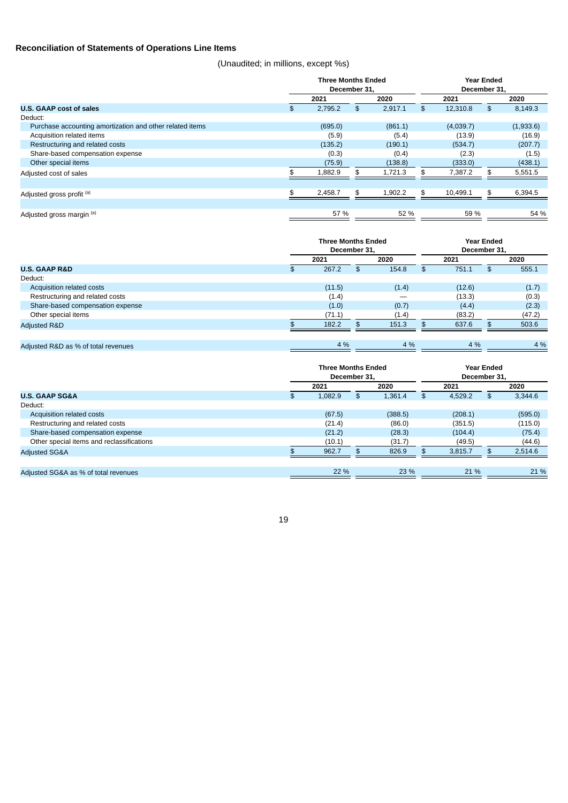### **Reconciliation of Statements of Operations Line Items**

(Unaudited; in millions, except %s)

|                                                          | <b>Three Months Ended</b><br>December 31. |               |      |           | <b>Year Ended</b><br>December 31, |  |  |
|----------------------------------------------------------|-------------------------------------------|---------------|------|-----------|-----------------------------------|--|--|
|                                                          | 2021                                      | 2020          | 2021 |           | 2020                              |  |  |
| U.S. GAAP cost of sales                                  | \$<br>2,795.2                             | \$<br>2,917.1 | £.   | 12,310.8  | \$<br>8,149.3                     |  |  |
| Deduct:                                                  |                                           |               |      |           |                                   |  |  |
| Purchase accounting amortization and other related items | (695.0)                                   | (861.1)       |      | (4,039.7) | (1,933.6)                         |  |  |
| Acquisition related items                                | (5.9)                                     | (5.4)         |      | (13.9)    | (16.9)                            |  |  |
| Restructuring and related costs                          | (135.2)                                   | (190.1)       |      | (534.7)   | (207.7)                           |  |  |
| Share-based compensation expense                         | (0.3)                                     | (0.4)         |      | (2.3)     | (1.5)                             |  |  |
| Other special items                                      | (75.9)                                    | (138.8)       |      | (333.0)   | (438.1)                           |  |  |
| Adjusted cost of sales                                   | 1,882.9                                   | 1,721.3       |      | 7,387.2   | 5,551.5                           |  |  |
|                                                          |                                           |               |      |           |                                   |  |  |
| Adjusted gross profit (a)                                | \$<br>2,458.7                             | \$<br>1,902.2 | \$   | 10,499.1  | \$<br>6,394.5                     |  |  |
|                                                          |                                           |               |      |           |                                   |  |  |
| Adjusted gross margin (a)                                | 57 %                                      | 52 %          |      | 59 %      | 54 %                              |  |  |

|                                     | <b>Three Months Ended</b><br>December 31. |    |       |  | <b>Year Ended</b><br>December 31. |     |        |  |  |
|-------------------------------------|-------------------------------------------|----|-------|--|-----------------------------------|-----|--------|--|--|
|                                     | 2021                                      |    | 2020  |  | 2021                              |     | 2020   |  |  |
| <b>U.S. GAAP R&amp;D</b>            | \$<br>267.2                               | \$ | 154.8 |  | 751.1                             | \$. | 555.1  |  |  |
| Deduct:                             |                                           |    |       |  |                                   |     |        |  |  |
| Acquisition related costs           | (11.5)                                    |    | (1.4) |  | (12.6)                            |     | (1.7)  |  |  |
| Restructuring and related costs     | (1.4)                                     |    |       |  | (13.3)                            |     | (0.3)  |  |  |
| Share-based compensation expense    | (1.0)                                     |    | (0.7) |  | (4.4)                             |     | (2.3)  |  |  |
| Other special items                 | (71.1)                                    |    | (1.4) |  | (83.2)                            |     | (47.2) |  |  |
| <b>Adjusted R&amp;D</b>             | 182.2                                     | \$ | 151.3 |  | 637.6                             |     | 503.6  |  |  |
|                                     |                                           |    |       |  |                                   |     |        |  |  |
| Adjusted R&D as % of total revenues | 4 %                                       |    | 4 %   |  | 4 %                               |     | 4 %    |  |  |

|                                           | <b>Three Months Ended</b><br>December 31. |      |         |      | <b>Year Ended</b><br>December 31. |    |         |  |
|-------------------------------------------|-------------------------------------------|------|---------|------|-----------------------------------|----|---------|--|
|                                           | 2021                                      | 2020 |         | 2021 |                                   |    | 2020    |  |
| <b>U.S. GAAP SG&amp;A</b>                 | \$<br>1,082.9                             | \$   | 1,361.4 |      | 4,529.2                           | \$ | 3,344.6 |  |
| Deduct:                                   |                                           |      |         |      |                                   |    |         |  |
| Acquisition related costs                 | (67.5)                                    |      | (388.5) |      | (208.1)                           |    | (595.0) |  |
| Restructuring and related costs           | (21.4)                                    |      | (86.0)  |      | (351.5)                           |    | (115.0) |  |
| Share-based compensation expense          | (21.2)                                    |      | (28.3)  |      | (104.4)                           |    | (75.4)  |  |
| Other special items and reclassifications | (10.1)                                    |      | (31.7)  |      | (49.5)                            |    | (44.6)  |  |
| <b>Adjusted SG&amp;A</b>                  | 962.7                                     | \$   | 826.9   |      | 3,815.7                           |    | 2,514.6 |  |
|                                           |                                           |      |         |      |                                   |    |         |  |
| Adjusted SG&A as % of total revenues      | 22 %                                      |      | 23 %    |      | 21 %                              |    | 21 %    |  |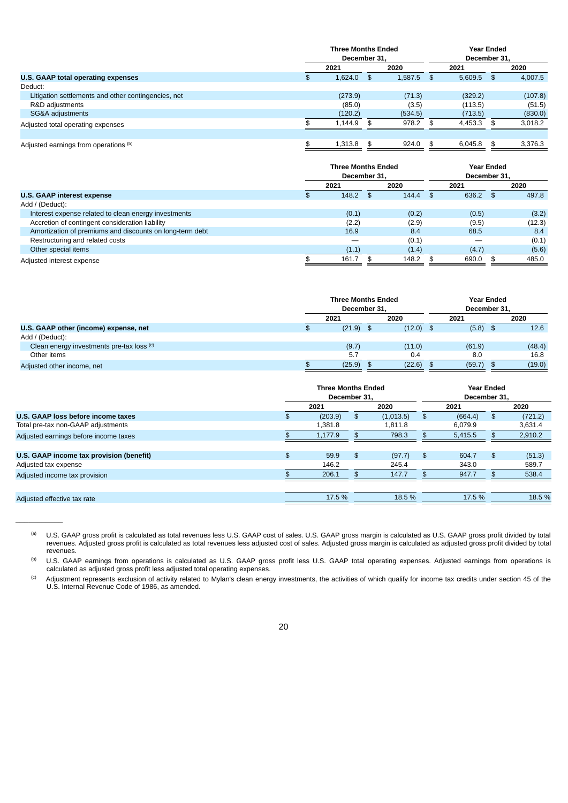|                                                     |    | <b>Three Months Ended</b><br>December 31. |              |         |    | <b>Year Ended</b><br>December 31. |      |         |
|-----------------------------------------------------|----|-------------------------------------------|--------------|---------|----|-----------------------------------|------|---------|
|                                                     |    | 2021                                      |              | 2020    |    | 2021                              |      | 2020    |
| U.S. GAAP total operating expenses                  | £. | 1,624.0                                   | $\mathsf{S}$ | 1,587.5 | \$ | 5,609.5                           | - \$ | 4,007.5 |
| Deduct:                                             |    |                                           |              |         |    |                                   |      |         |
| Litigation settlements and other contingencies, net |    | (273.9)                                   |              | (71.3)  |    | (329.2)                           |      | (107.8) |
| R&D adjustments                                     |    | (85.0)                                    |              | (3.5)   |    | (113.5)                           |      | (51.5)  |
| SG&A adjustments                                    |    | (120.2)                                   |              | (534.5) |    | (713.5)                           |      | (830.0) |
| Adjusted total operating expenses                   |    | 1,144.9                                   |              | 978.2   |    | 4,453.3                           |      | 3,018.2 |
|                                                     |    |                                           |              |         |    |                                   |      |         |
| Adjusted earnings from operations (b)               |    | 1,313.8                                   |              | 924.0   | \$ | 6,045.8                           | \$   | 3,376.3 |

|                                                          | <b>Three Months Ended</b><br>December 31. |       |  | <b>Year Ended</b><br>December 31. |  |       |  |        |
|----------------------------------------------------------|-------------------------------------------|-------|--|-----------------------------------|--|-------|--|--------|
|                                                          |                                           | 2021  |  | 2020                              |  | 2021  |  | 2020   |
| <b>U.S. GAAP interest expense</b>                        |                                           | 148.2 |  | 144.4                             |  | 636.2 |  | 497.8  |
| Add / (Deduct):                                          |                                           |       |  |                                   |  |       |  |        |
| Interest expense related to clean energy investments     |                                           | (0.1) |  | (0.2)                             |  | (0.5) |  | (3.2)  |
| Accretion of contingent consideration liability          |                                           | (2.2) |  | (2.9)                             |  | (9.5) |  | (12.3) |
| Amortization of premiums and discounts on long-term debt |                                           | 16.9  |  | 8.4                               |  | 68.5  |  | 8.4    |
| Restructuring and related costs                          |                                           |       |  | (0.1)                             |  |       |  | (0.1)  |
| Other special items                                      |                                           | (1.1) |  | (1.4)                             |  | (4.7) |  | (5.6)  |
| Adjusted interest expense                                |                                           | 161.7 |  | 148.2                             |  | 690.0 |  | 485.0  |

|                                           | <b>Three Months Ended</b><br>December 31. |  |             | <b>Year Ended</b><br>December 31. |            |  |        |
|-------------------------------------------|-------------------------------------------|--|-------------|-----------------------------------|------------|--|--------|
|                                           | 2021                                      |  | 2020        |                                   | 2021       |  | 2020   |
| U.S. GAAP other (income) expense, net     | $(21.9)$ \$                               |  | $(12.0)$ \$ |                                   | $(5.8)$ \$ |  | 12.6   |
| Add / (Deduct):                           |                                           |  |             |                                   |            |  |        |
| Clean energy investments pre-tax loss (c) | (9.7)                                     |  | (11.0)      |                                   | (61.9)     |  | (48.4) |
| Other items                               | 5.7                                       |  | 0.4         |                                   | 8.0        |  | 16.8   |
| Adjusted other income, net                | (25.9)                                    |  | (22.6)      |                                   | (59.7)     |  | (19.0) |

|                                          |     | <b>Three Months Ended</b><br>December 31. |    |           |     | <b>Year Ended</b><br>December 31. |    |         |
|------------------------------------------|-----|-------------------------------------------|----|-----------|-----|-----------------------------------|----|---------|
|                                          |     | 2021                                      |    | 2020      |     | 2021                              |    | 2020    |
| U.S. GAAP loss before income taxes       | \$. | (203.9)                                   | \$ | (1,013.5) | \$. | (664.4)                           | \$ | (721.2) |
| Total pre-tax non-GAAP adjustments       |     | 1.381.8                                   |    | 1.811.8   |     | 6.079.9                           |    | 3,631.4 |
| Adjusted earnings before income taxes    |     | 1,177.9                                   |    | 798.3     |     | 5,415.5                           | \$ | 2,910.2 |
|                                          |     |                                           |    |           |     |                                   |    |         |
| U.S. GAAP income tax provision (benefit) | \$  | 59.9                                      | \$ | (97.7)    | \$  | 604.7                             | \$ | (51.3)  |
| Adjusted tax expense                     |     | 146.2                                     |    | 245.4     |     | 343.0                             |    | 589.7   |
| Adjusted income tax provision            |     | 206.1                                     |    | 147.7     |     | 947.7                             | £. | 538.4   |
|                                          |     |                                           |    |           |     |                                   |    |         |
| Adjusted effective tax rate              |     | 17.5 %                                    |    | 18.5 %    |     | 17.5 %                            |    | 18.5 %  |

U.S. GAAP gross profit is calculated as total revenues less U.S. GAAP cost of sales. U.S. GAAP gross margin is calculated as U.S. GAAP gross profit divided by total revenues. Adjusted gross profit is calculated as total revenues less adjusted cost of sales. Adjusted gross margin is calculated as adjusted gross profit divided by total revenues. (a)

 $\overline{\phantom{a}}$  . The contract of  $\overline{\phantom{a}}$ 

U.S. GAAP earnings from operations is calculated as U.S. GAAP gross profit less U.S. GAAP total operating expenses. Adjusted earnings from operations is calculated as adjusted gross profit less adjusted total operating expenses. (b)

Adjustment represents exclusion of activity related to Mylan's clean energy investments, the activities of which qualify for income tax credits under section 45 of the U.S. Internal Revenue Code of 1986, as amended. (c)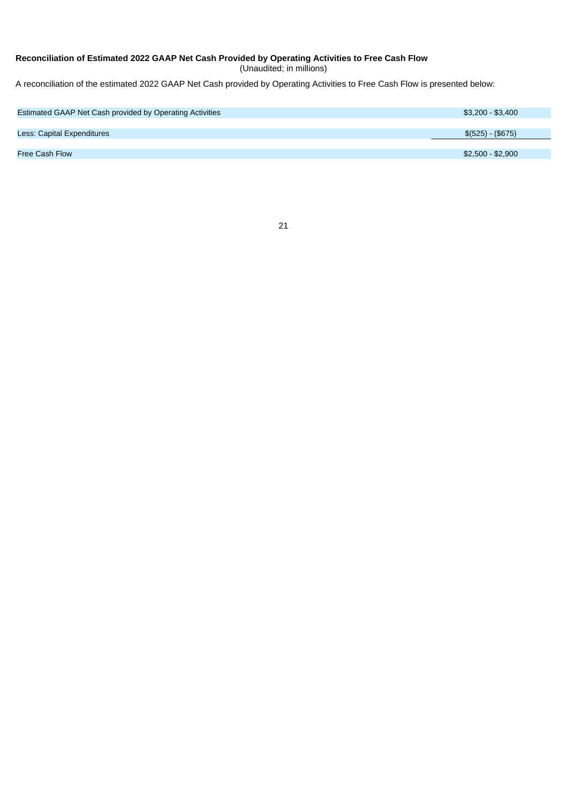#### **Reconciliation of Estimated 2022 GAAP Net Cash Provided by Operating Activities to Free Cash Flow**

(Unaudited; in millions)

A reconciliation of the estimated 2022 GAAP Net Cash provided by Operating Activities to Free Cash Flow is presented below:

| Estimated GAAP Net Cash provided by Operating Activities | \$3,200 - \$3,400 |
|----------------------------------------------------------|-------------------|
|                                                          |                   |
| <b>Less: Capital Expenditures</b>                        | $$(525) - ($675)$ |
|                                                          |                   |
| <b>Free Cash Flow</b>                                    | \$2,500 - \$2,900 |
|                                                          |                   |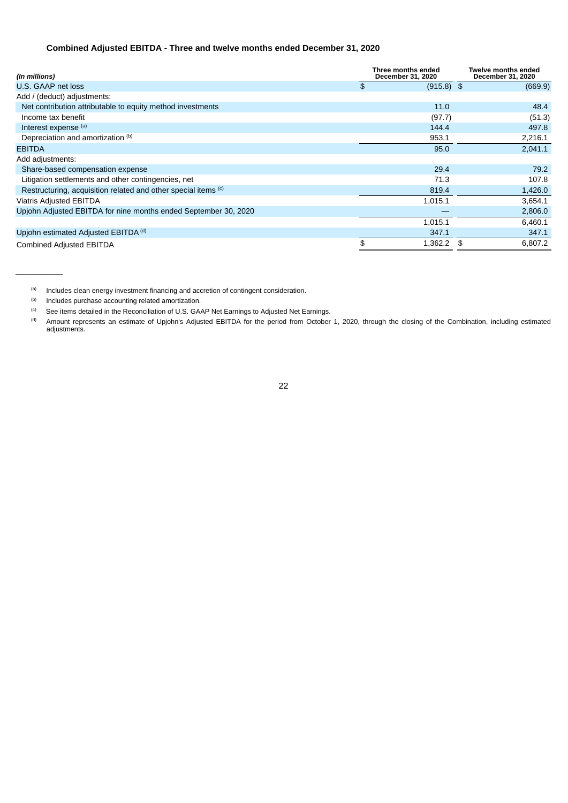### **Combined Adjusted EBITDA - Three and twelve months ended December 31, 2020**

| (In millions)                                                   | Three months ended<br>December 31, 2020 | <b>Twelve months ended</b><br>December 31, 2020 |
|-----------------------------------------------------------------|-----------------------------------------|-------------------------------------------------|
| U.S. GAAP net loss                                              | \$<br>$(915.8)$ \$                      | (669.9)                                         |
| Add / (deduct) adjustments:                                     |                                         |                                                 |
| Net contribution attributable to equity method investments      | 11.0                                    | 48.4                                            |
| Income tax benefit                                              | (97.7)                                  | (51.3)                                          |
| Interest expense (a)                                            | 144.4                                   | 497.8                                           |
| Depreciation and amortization (b)                               | 953.1                                   | 2,216.1                                         |
| <b>EBITDA</b>                                                   | 95.0                                    | 2,041.1                                         |
| Add adjustments:                                                |                                         |                                                 |
| Share-based compensation expense                                | 29.4                                    | 79.2                                            |
| Litigation settlements and other contingencies, net             | 71.3                                    | 107.8                                           |
| Restructuring, acquisition related and other special items (c)  | 819.4                                   | 1,426.0                                         |
| <b>Viatris Adjusted EBITDA</b>                                  | 1,015.1                                 | 3,654.1                                         |
| Upjohn Adjusted EBITDA for nine months ended September 30, 2020 |                                         | 2,806.0                                         |
|                                                                 | 1,015.1                                 | 6,460.1                                         |
| Upjohn estimated Adjusted EBITDA <sup>(d)</sup>                 | 347.1                                   | 347.1                                           |
| <b>Combined Adjusted EBITDA</b>                                 | 1,362.2                                 | 6,807.2                                         |

Includes clean energy investment financing and accretion of contingent consideration. (a)

Includes purchase accounting related amortization. (b)

 $\overline{\phantom{a}}$  . The contract of  $\overline{\phantom{a}}$ 

See items detailed in the Reconciliation of U.S. GAAP Net Earnings to Adjusted Net Earnings. (c)

Amount represents an estimate of Upjohn's Adjusted EBITDA for the period from October 1, 2020, through the closing of the Combination, including estimated adjustments. (d)